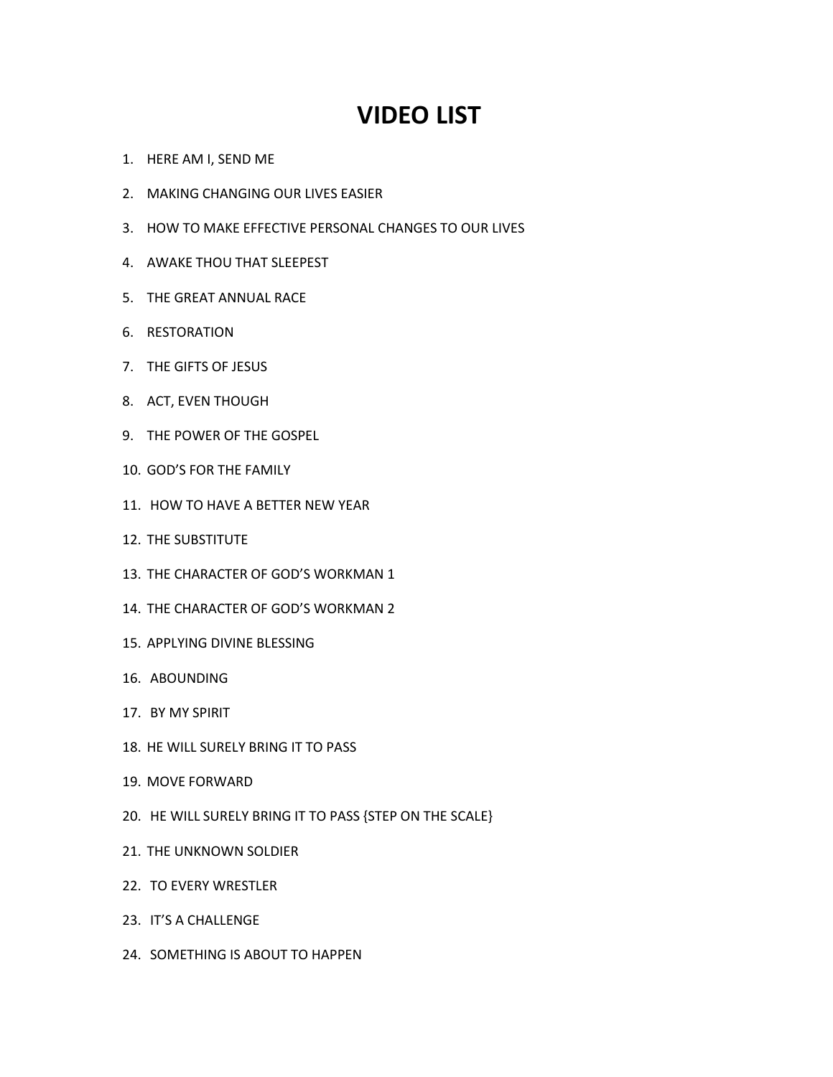## **VIDEO LIST**

- 1. HERE AM I, SEND ME
- 2. MAKING CHANGING OUR LIVES EASIER
- 3. HOW TO MAKE EFFECTIVE PERSONAL CHANGES TO OUR LIVES
- 4. AWAKE THOU THAT SLEEPEST
- 5. THE GREAT ANNUAL RACE
- 6. RESTORATION
- 7. THE GIFTS OF JESUS
- 8. ACT, EVEN THOUGH
- 9. THE POWER OF THE GOSPEL
- 10. GOD'S FOR THE FAMILY
- 11. HOW TO HAVE A BETTER NEW YEAR
- 12. THE SUBSTITUTE
- 13. THE CHARACTER OF GOD'S WORKMAN 1
- 14. THE CHARACTER OF GOD'S WORKMAN 2
- 15. APPLYING DIVINE BLESSING
- 16. ABOUNDING
- 17. BY MY SPIRIT
- 18. HE WILL SURELY BRING IT TO PASS
- 19. MOVE FORWARD
- 20. HE WILL SURELY BRING IT TO PASS {STEP ON THE SCALE}
- 21. THE UNKNOWN SOLDIER
- 22. TO EVERY WRESTLER
- 23. IT'S A CHALLENGE
- 24. SOMETHING IS ABOUT TO HAPPEN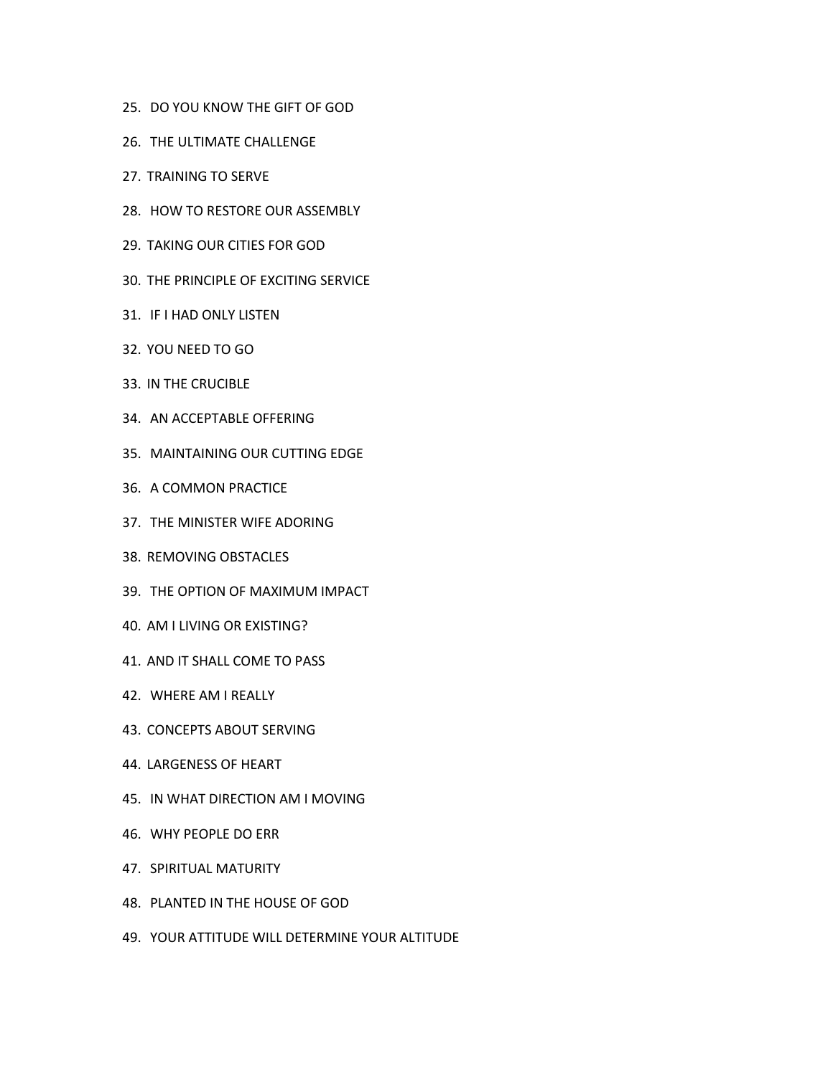- 25. DO YOU KNOW THE GIFT OF GOD
- 26. THE ULTIMATE CHALLENGE
- 27. TRAINING TO SERVE
- 28. HOW TO RESTORE OUR ASSEMBLY
- 29. TAKING OUR CITIES FOR GOD
- 30. THE PRINCIPLE OF EXCITING SERVICE
- 31. IF I HAD ONLY LISTEN
- 32. YOU NEED TO GO
- 33. IN THE CRUCIBLE
- 34. AN ACCEPTABLE OFFERING
- 35. MAINTAINING OUR CUTTING EDGE
- 36. A COMMON PRACTICE
- 37. THE MINISTER WIFE ADORING
- 38. REMOVING OBSTACLES
- 39. THE OPTION OF MAXIMUM IMPACT
- 40. AM I LIVING OR EXISTING?
- 41. AND IT SHALLCOME TO PASS
- 42. WHERE AM I REALLY
- 43. CONCEPTS ABOUT SERVING
- 44. LARGENESS OF HEART
- 45. IN WHAT DIRECTION AM I MOVING
- 46. WHY PEOPLE DO ERR
- 47. SPIRITUAL MATURITY
- 48. PLANTED IN THE HOUSE OF GOD
- 49. YOUR ATTITUDE WILL DETERMINE YOUR ALTITUDE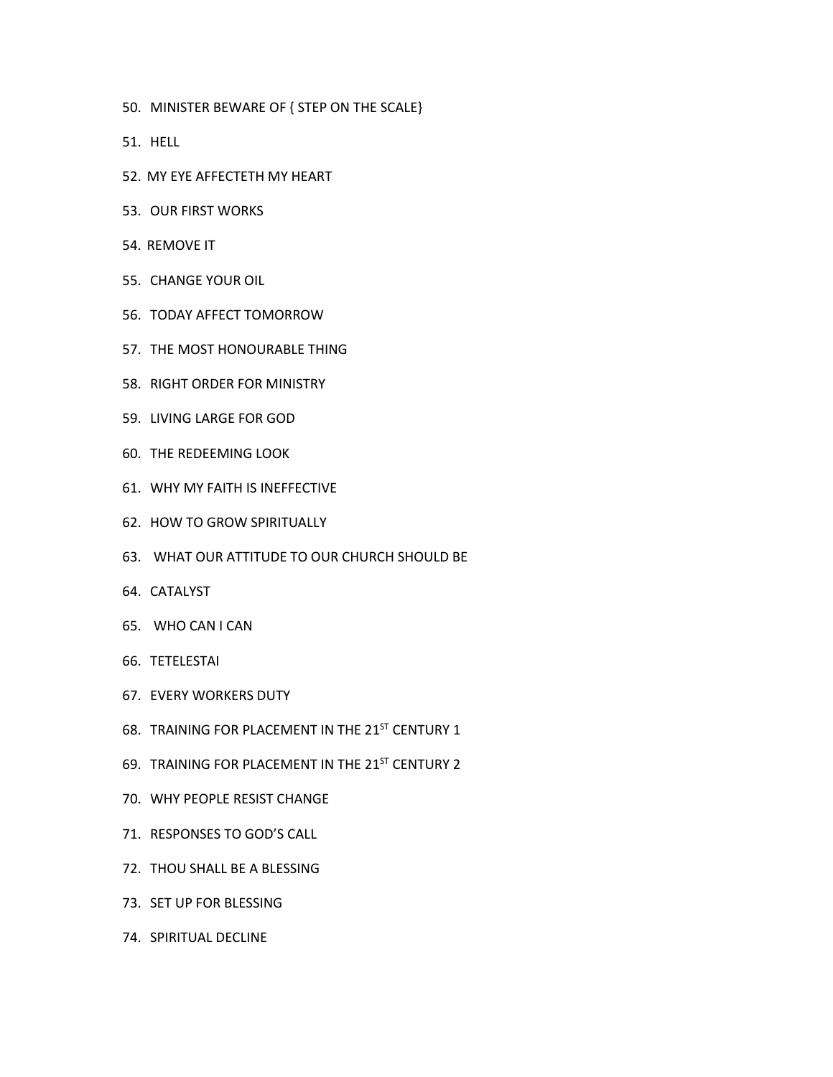- 50. MINISTER BEWARE OF { STEP ON THE SCALE}
- 51. HELL
- 52. MY EYE AFFECTETH MY HEART
- 53. OUR FIRST WORKS
- 54. REMOVE IT
- 55. CHANGE YOUR OIL
- 56. TODAY AFFECT TOMORROW
- 57. THE MOST HONOURABLE THING
- 58. RIGHT ORDER FOR MINISTRY
- 59. LIVING LARGE FOR GOD
- 60. THE REDEEMING LOOK
- 61. WHY MY FAITH IS INEFFECTIVE
- 62. HOW TO GROW SPIRITUALLY
- 63. WHAT OUR ATTITUDE TO OUR CHURCH SHOULD BE
- 64. CATALYST
- 65. WHO CAN I CAN
- 66. TETELESTAI
- 67. EVERY WORKERS DUTY
- 68. TRAINING FOR PLACEMENT IN THE 21 $^{\rm{ST}}$  CENTURY 1
- 69. TRAINING FOR PLACEMENT IN THE 21<sup>ST</sup> CENTURY 2
- 70. WHY PEOPLE RESIST CHANGE
- 71. RESPONSES TO GOD'S CALL
- 72. THOU SHALL BE A BLESSING
- 73. SET UP FOR BLESSING
- 74. SPIRITUAL DECLINE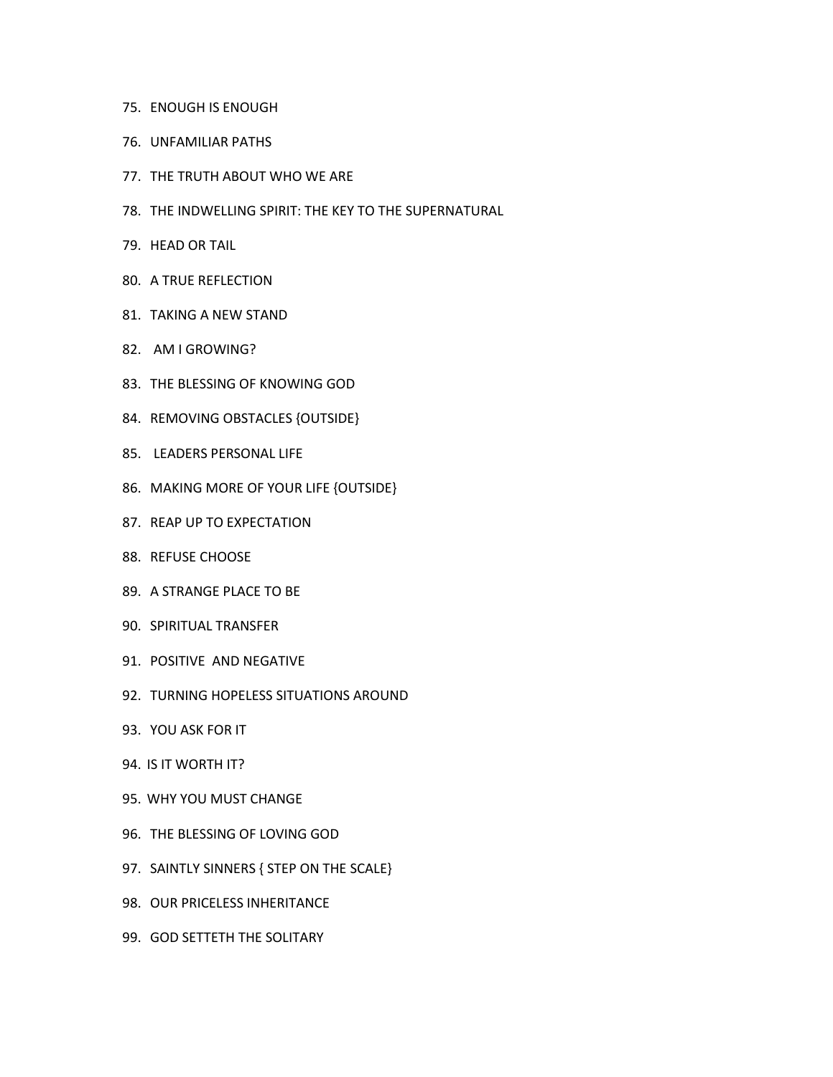- 75. ENOUGH IS ENOUGH
- 76. UNFAMILIAR PATHS
- 77. THE TRUTH ABOUT WHO WE ARE
- 78. THE INDWELLING SPIRIT: THE KEY TO THE SUPERNATURAL
- 79. HEAD ORTAIL
- 80. A TRUE REFLECTION
- 81. TAKING A NEW STAND
- 82. AM I GROWING?
- 83. THE BLESSING OF KNOWING GOD
- 84. REMOVING OBSTACLES {OUTSIDE}
- 85. LEADERS PERSONAL LIFE
- 86. MAKING MORE OF YOUR LIFE {OUTSIDE}
- 87. REAP UP TO EXPECTATION
- 88. REFUSE CHOOSE
- 89. A STRANGE PLACE TO BE
- 90. SPIRITUAL TRANSFER
- 91. POSITIVE AND NEGATIVE
- 92. TURNING HOPELESS SITUATIONS AROUND
- 93. YOU ASK FOR IT
- 94. IS IT WORTH IT?
- 95. WHY YOU MUST CHANGE
- 96. THE BLESSING OF LOVING GOD
- 97. SAINTLY SINNERS { STEP ON THE SCALE}
- 98. OUR PRICELESS INHERITANCE
- 99. GOD SETTETH THE SOLITARY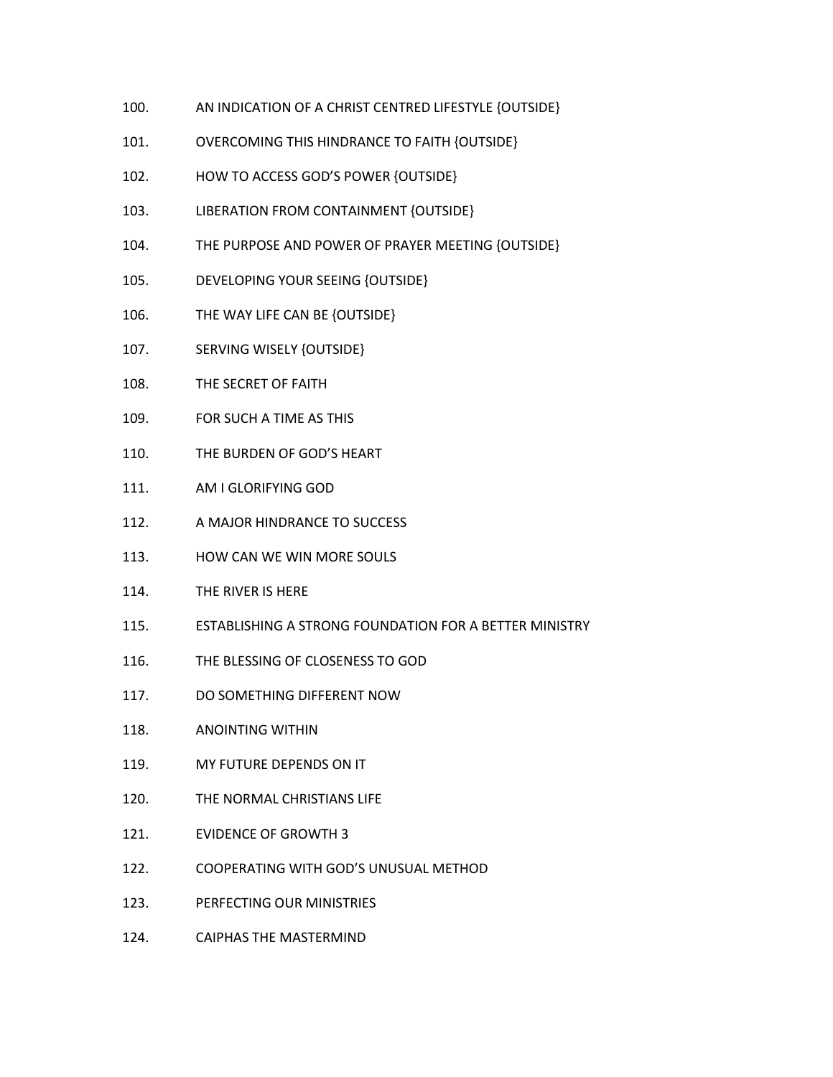- 100. AN INDICATION OF A CHRIST CENTRED LIFESTYLE {OUTSIDE}
- 101. OVERCOMING THIS HINDRANCE TO FAITH {OUTSIDE}
- 102. HOW TO ACCESS GOD'S POWER {OUTSIDE}
- 103. LIBERATION FROM CONTAINMENT {OUTSIDE}
- 104. THE PURPOSE AND POWER OF PRAYER MEETING {OUTSIDE}
- 105. DEVELOPING YOUR SEEING {OUTSIDE}
- 106. THE WAY LIFE CAN BE {OUTSIDE}
- 107. SERVING WISELY {OUTSIDE}
- 108. THE SECRET OF FAITH
- 109. FOR SUCH ATIME AS THIS
- 110. THE BURDEN OF GOD'S HEART
- 111. AM I GLORIFYING GOD
- 112. A MAJOR HINDRANCE TO SUCCESS
- 113. HOW CAN WE WIN MORE SOULS
- 114. THE RIVER IS HERE
- 115. ESTABLISHING A STRONG FOUNDATION FORA BETTER MINISTRY
- 116. THE BLESSING OF CLOSENESS TO GOD
- 117. DO SOMETHING DIFFERENT NOW
- 118. ANOINTING WITHIN
- 119. MY FUTURE DEPENDS ON IT
- 120. THE NORMAL CHRISTIANS LIFE
- 121. EVIDENCE OF GROWTH 3
- 122. COOPERATING WITH GOD'S UNUSUAL METHOD
- 123. PERFECTING OUR MINISTRIES
- 124. CAIPHAS THE MASTERMIND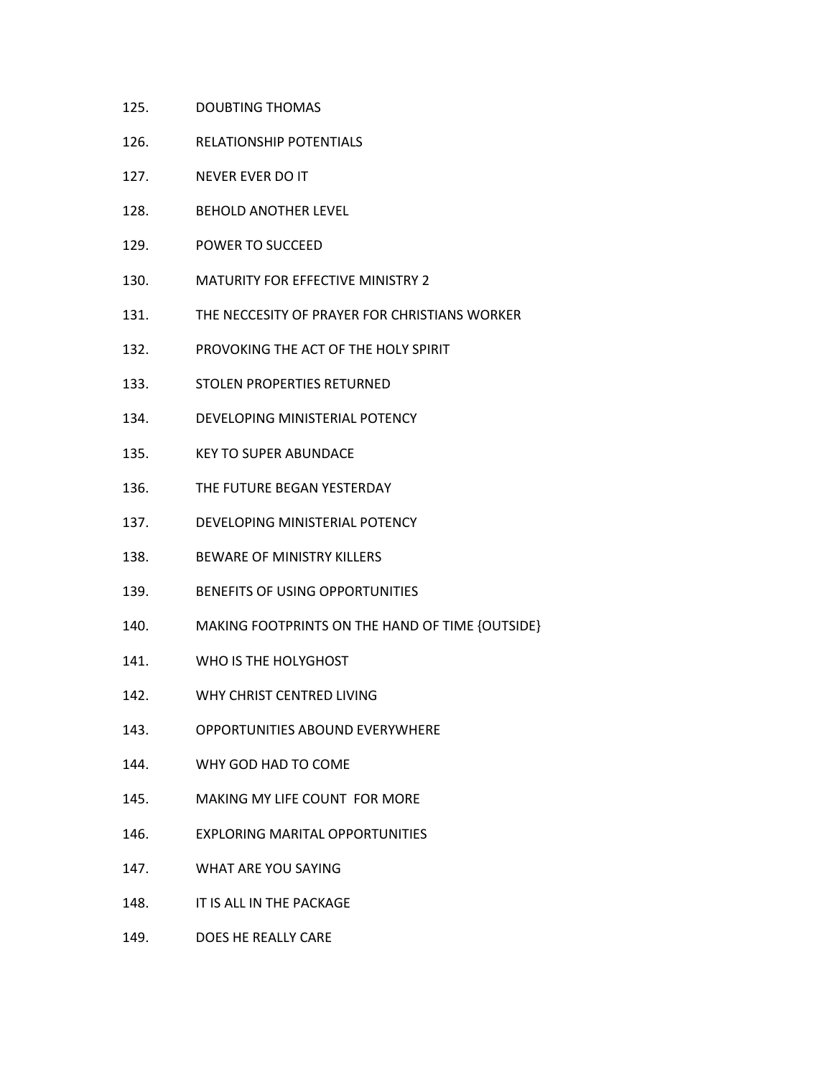- 125. DOUBTING THOMAS
- 126. RELATIONSHIP POTENTIALS
- 127. NEVER EVER DO IT
- 128. BEHOLD ANOTHER LEVEL
- 129. POWER TO SUCCEED
- 130. MATURITY FOR EFFECTIVE MINISTRY 2
- 131. THE NECCESITY OF PRAYER FOR CHRISTIANS WORKER
- 132. PROVOKING THE ACT OF THE HOLY SPIRIT
- 133. STOLEN PROPERTIES RETURNED
- 134. DEVELOPING MINISTERIAL POTENCY
- 135. KEY TO SUPER ABUNDACE
- 136. THE FUTURE BEGAN YESTERDAY
- 137. DEVELOPING MINISTERIAL POTENCY
- 138. BEWARE OF MINISTRY KILLERS
- 139. BENEFITS OF USING OPPORTUNITIES
- 140. MAKING FOOTPRINTS ON THE HAND OF TIME {OUTSIDE}
- 141. WHO IS THE HOLYGHOST
- 142. WHY CHRIST CENTRED LIVING
- 143. OPPORTUNITIES ABOUND EVERYWHERE
- 144. WHY GOD HAD TO COME
- 145. MAKING MY LIFE COUNT FOR MORE
- 146. EXPLORING MARITAL OPPORTUNITIES
- 147. WHAT ARE YOU SAYING
- 148. IT IS ALL IN THE PACKAGE
- 149. DOES HE REALLY CARE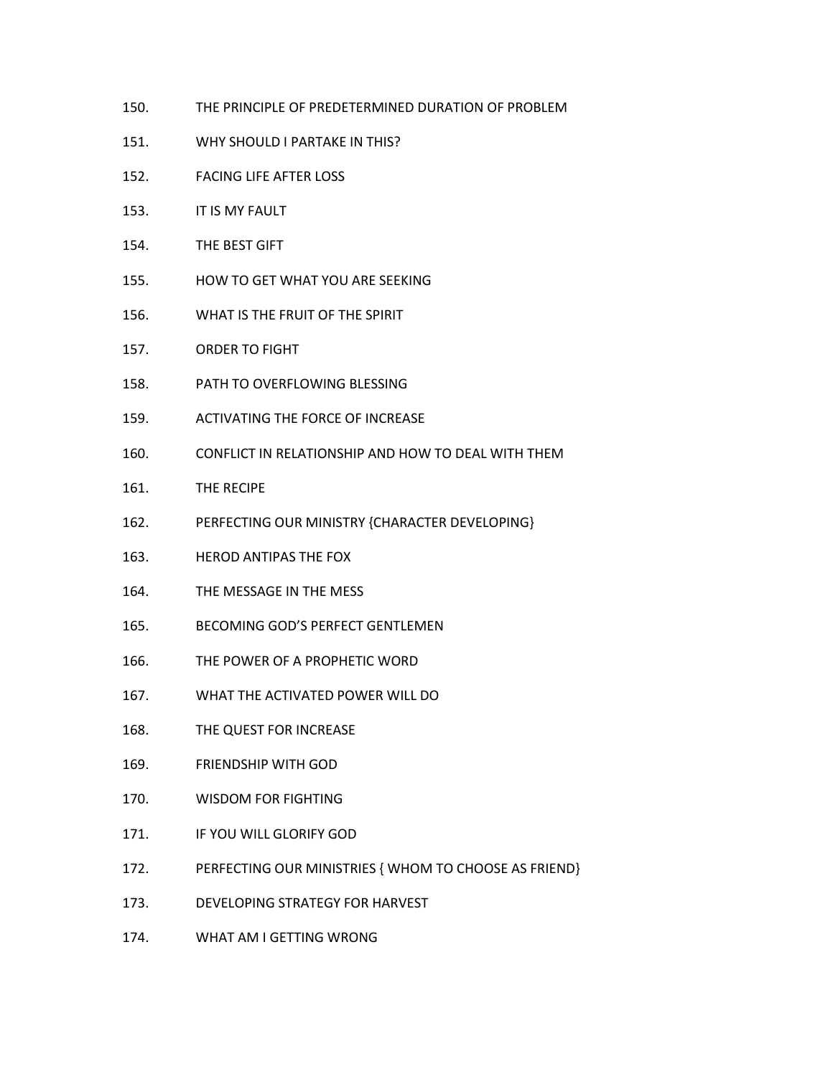- 150. THE PRINCIPLE OF PREDETERMINED DURATION OF PROBLEM
- 151. WHY SHOULD I PARTAKE IN THIS?
- 152. FACING LIFE AFTER LOSS
- 153. IT IS MY FAULT
- 154. THE BEST GIFT
- 155. HOW TO GET WHAT YOU ARE SEEKING
- 156. WHAT IS THE FRUIT OF THE SPIRIT
- 157. ORDER TO FIGHT
- 158. PATH TO OVERFLOWING BLESSING
- 159. ACTIVATING THE FORCE OF INCREASE
- 160. CONFLICT IN RELATIONSHIP AND HOW TO DEAL WITH THEM
- 161. THE RECIPE
- 162. PERFECTING OUR MINISTRY {CHARACTER DEVELOPING}
- 163. HEROD ANTIPAS THE FOX
- 164. THE MESSAGE IN THE MESS
- 165. BECOMING GOD'S PERFECT GENTLEMEN
- 166. THE POWER OF A PROPHETIC WORD
- 167. WHAT THE ACTIVATED POWER WILL DO
- 168. THE QUEST FOR INCREASE
- 169. FRIENDSHIP WITH GOD
- 170. WISDOM FOR FIGHTING
- 171. IF YOU WILL GLORIFY GOD
- 172. PERFECTING OUR MINISTRIES { WHOM TO CHOOSE AS FRIEND}
- 173. DEVELOPING STRATEGY FOR HARVEST
- 174. WHAT AM I GETTING WRONG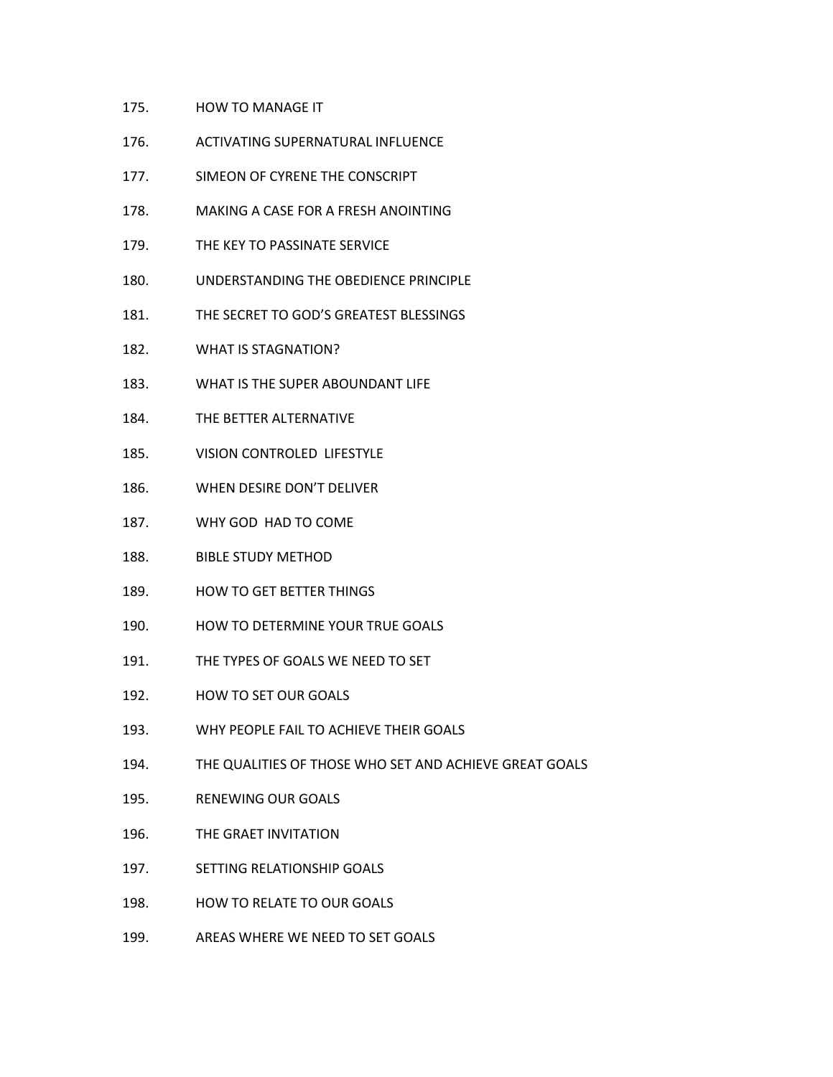- 175. HOW TO MANAGE IT
- 176. ACTIVATING SUPERNATURAL INFLUENCE
- 177. SIMEON OF CYRENE THE CONSCRIPT
- 178. MAKING A CASE FOR A FRESH ANOINTING
- 179. THE KEY TO PASSINATE SERVICE
- 180. UNDERSTANDING THE OBEDIENCE PRINCIPLE
- 181. THE SECRET TO GOD'S GREATEST BLESSINGS
- 182. WHAT IS STAGNATION?
- 183. WHAT IS THE SUPER ABOUNDANT LIFE
- 184. THE BETTER ALTERNATIVE
- 185. VISION CONTROLED LIFESTYLE
- 186. WHEN DESIRE DON'T DELIVER
- 187. WHY GOD HAD TO COME
- 188. BIBLE STUDY METHOD
- 189. HOW TO GET BETTER THINGS
- 190. HOW TO DETERMINE YOUR TRUE GOALS
- 191. THE TYPES OF GOALS WE NEED TO SET
- 192. HOW TO SET OUR GOALS
- 193. WHY PEOPLE FAIL TO ACHIEVE THEIR GOALS
- 194. THE QUALITIES OF THOSE WHO SET AND ACHIEVE GREAT GOALS
- 195. RENEWING OUR GOALS
- 196. THE GRAET INVITATION
- 197. SETTING RELATIONSHIP GOALS
- 198. HOW TO RELATE TO OUR GOALS
- 199. AREAS WHERE WE NEED TO SET GOALS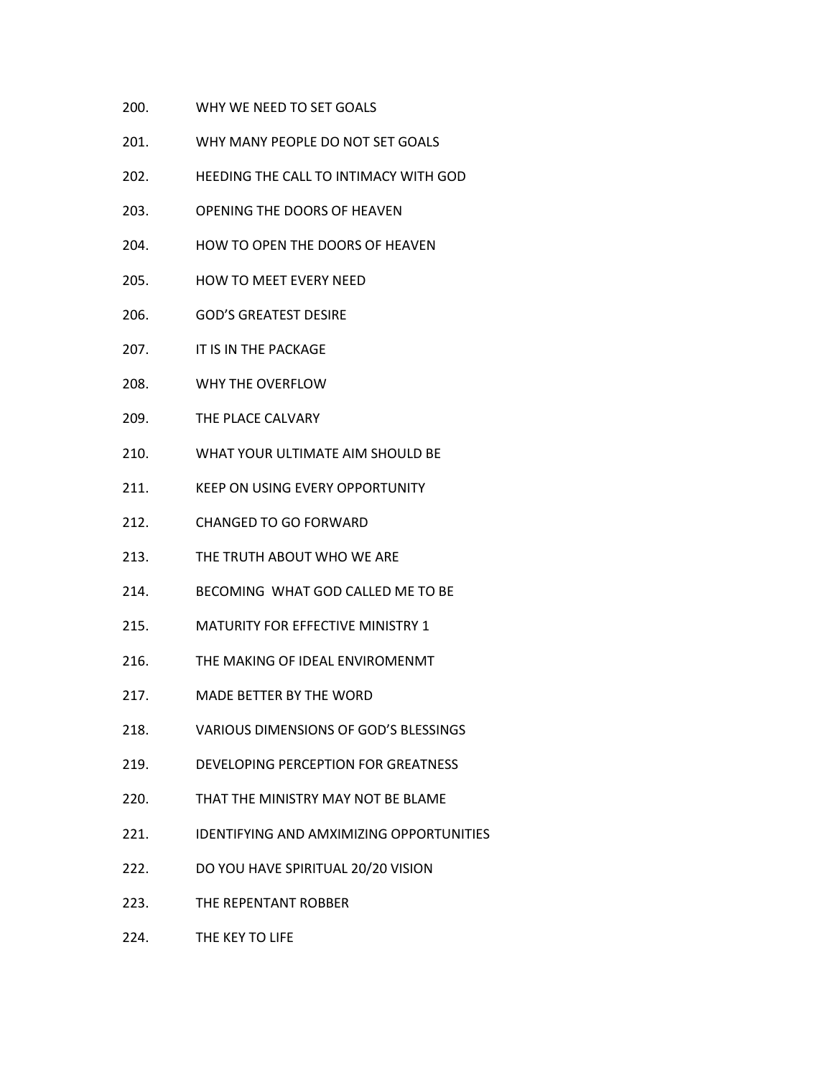- 200. WHY WE NEED TO SET GOALS
- 201. WHY MANY PEOPLE DO NOT SET GOALS
- 202. HEEDING THE CALL TO INTIMACY WITH GOD
- 203. OPENING THE DOORS OF HEAVEN
- 204. HOW TO OPEN THE DOORS OF HEAVEN
- 205. HOW TO MEET EVERY NEED
- 206. GOD'S GREATEST DESIRE
- 207. **IT IS IN THE PACKAGE**
- 208. WHY THE OVERFLOW
- 209. THE PLACE CALVARY
- 210. WHAT YOUR ULTIMATE AIM SHOULD BE
- 211. KEEP ON USING EVERY OPPORTUNITY
- 212. CHANGED TO GO FORWARD
- 213. THE TRUTH ABOUT WHO WE ARE
- 214. BECOMING WHAT GOD CALLED ME TO BE
- 215. MATURITY FOR EFFECTIVE MINISTRY 1
- 216. THE MAKING OF IDEAL ENVIROMENMT
- 217. MADE BETTER BY THE WORD
- 218. VARIOUS DIMENSIONS OF GOD'S BLESSINGS
- 219. DEVELOPING PERCEPTION FOR GREATNESS
- 220. THAT THE MINISTRY MAY NOT BE BLAME
- 221. IDENTIFYING AND AMXIMIZING OPPORTUNITIES
- 222. DO YOU HAVE SPIRITUAL 20/20 VISION
- 223. THE REPENTANT ROBBER
- 224. THE KEY TO LIFE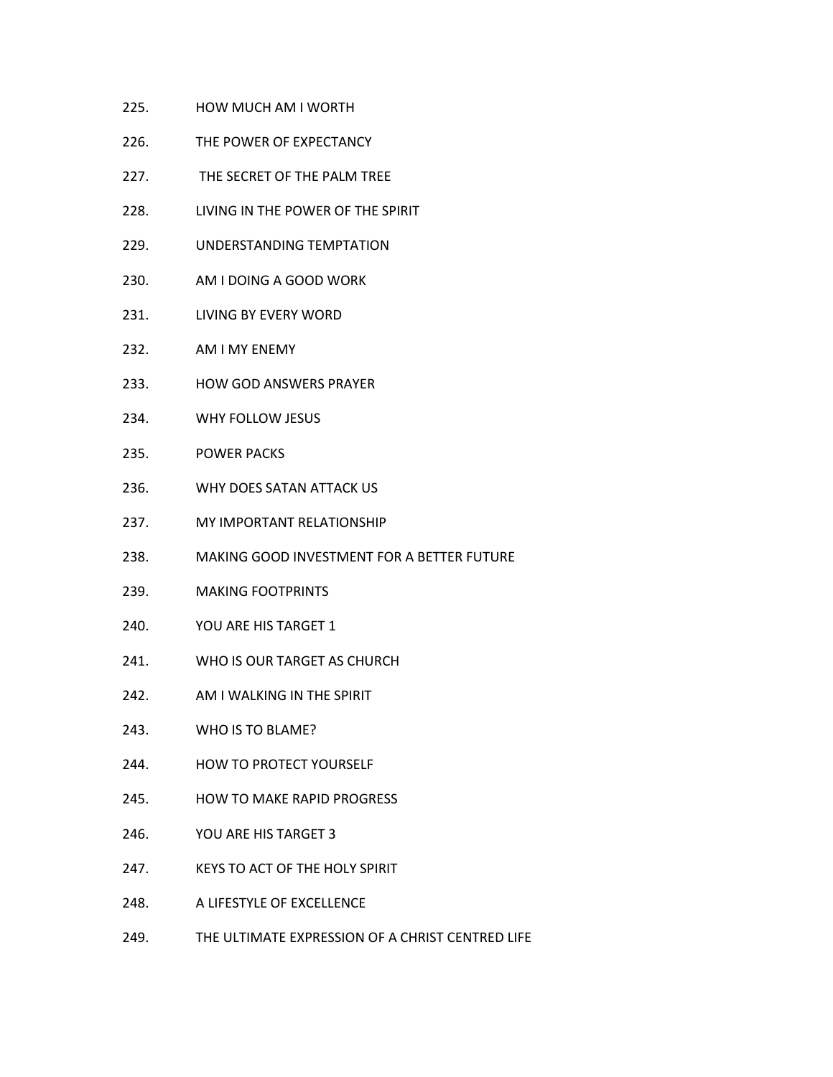- 225. HOW MUCH AM I WORTH
- 226. THE POWER OF EXPECTANCY
- 227. THE SECRET OF THE PALM TREE
- 228. LIVING IN THE POWER OF THE SPIRIT
- 229. UNDERSTANDING TEMPTATION
- 230. AM I DOING A GOOD WORK
- 231. LIVING BY EVERY WORD
- 232. AM I MY ENEMY
- 233. HOW GOD ANSWERS PRAYER
- 234. WHY FOLLOW JESUS
- 235. POWER PACKS
- 236. WHY DOES SATAN ATTACK US
- 237. MY IMPORTANT RELATIONSHIP
- 238. MAKING GOOD INVESTMENT FOR A BETTER FUTURE
- 239. MAKING FOOTPRINTS
- 240. YOU ARE HIS TARGET 1
- 241. WHO IS OUR TARGET AS CHURCH
- 242. AM I WALKING IN THE SPIRIT
- 243. WHO IS TO BLAME?
- 244. HOW TO PROTECT YOURSELF
- 245. HOW TO MAKE RAPID PROGRESS
- 246. YOU ARE HIS TARGET 3
- 247. KEYS TO ACT OF THE HOLY SPIRIT
- 248. A LIFESTYLE OF EXCELLENCE
- 249. THE ULTIMATE EXPRESSION OF A CHRIST CENTRED LIFE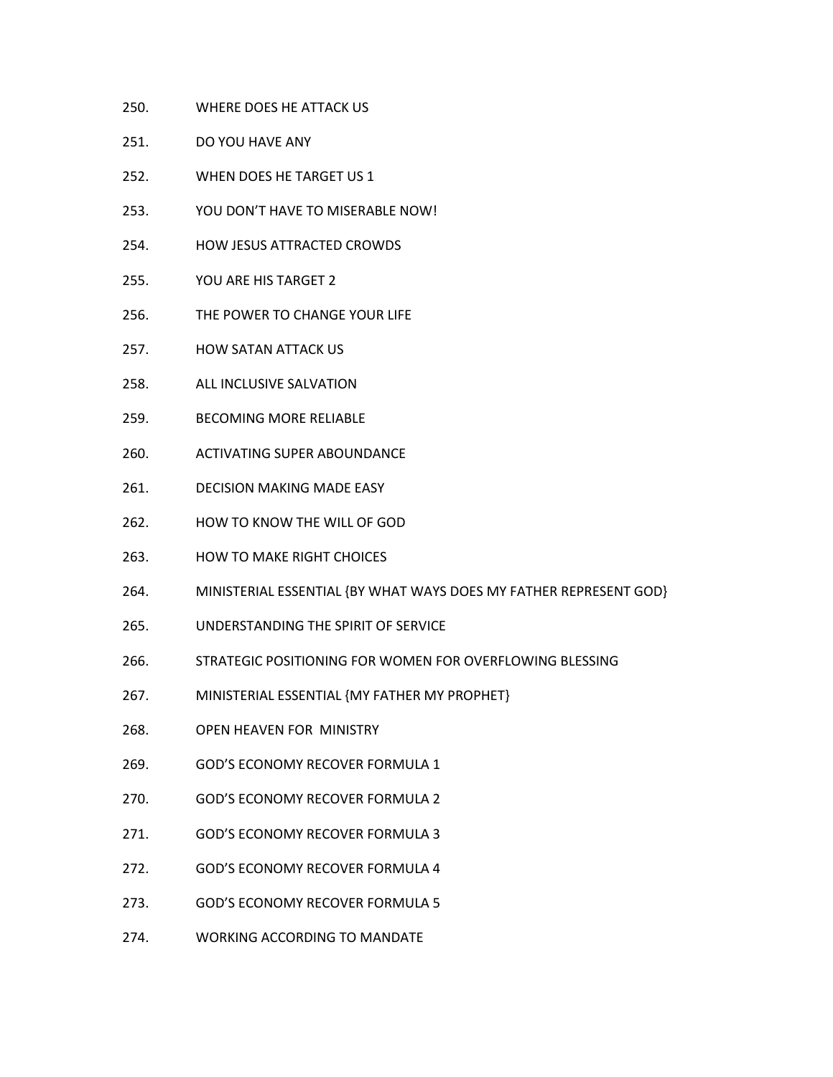- 250. WHERE DOES HE ATTACK US
- 251. DO YOU HAVE ANY
- 252. WHEN DOES HE TARGET US 1
- 253. YOU DON'T HAVE TO MISERABLE NOW!
- 254. HOW JESUS ATTRACTED CROWDS
- 255. YOU ARE HIS TARGET 2
- 256. THE POWER TO CHANGE YOUR LIFE
- 257. HOW SATAN ATTACK US
- 258. ALL INCLUSIVE SALVATION
- 259. BECOMING MORE RELIABLE
- 260. ACTIVATING SUPER ABOUNDANCE
- 261. DECISION MAKING MADE EASY
- 262. HOW TO KNOW THE WILL OF GOD
- 263. HOW TO MAKE RIGHT CHOICES
- 264. MINISTERIAL ESSENTIAL {BY WHAT WAYS DOES MY FATHER REPRESENT GOD}
- 265. UNDERSTANDING THE SPIRIT OF SERVICE
- 266. STRATEGIC POSITIONING FOR WOMEN FOR OVERFLOWING BLESSING
- 267. MINISTERIAL ESSENTIAL {MY FATHER MY PROPHET}
- 268. OPEN HEAVEN FOR MINISTRY
- 269. GOD'S ECONOMY RECOVER FORMULA 1
- 270. GOD'S ECONOMY RECOVER FORMULA 2
- 271. GOD'S ECONOMY RECOVER FORMULA 3
- 272. GOD'S ECONOMY RECOVER FORMULA 4
- 273. GOD'S ECONOMY RECOVER FORMULA 5
- 274. WORKING ACCORDING TO MANDATE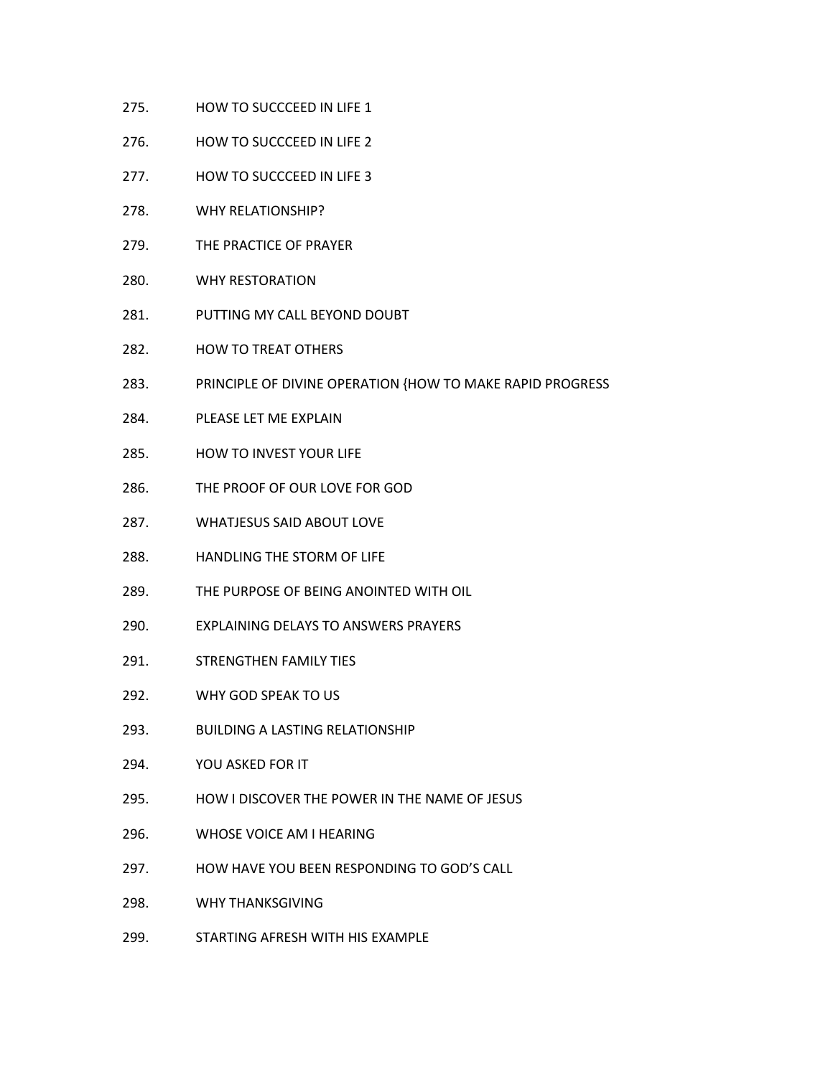- 275. HOW TO SUCCCEED IN LIFE 1
- 276. HOW TO SUCCCEED IN LIFE 2
- 277. HOW TO SUCCCEED IN LIFE 3
- 278. WHY RELATIONSHIP?
- 279. THE PRACTICE OF PRAYER
- 280. WHY RESTORATION
- 281. PUTTING MY CALL BEYOND DOUBT
- 282. HOW TO TREAT OTHERS
- 283. PRINCIPLE OF DIVINE OPERATION {HOW TO MAKE RAPID PROGRESS
- 284. PLEASE LET ME EXPLAIN
- 285. HOW TO INVEST YOUR LIFE
- 286. THE PROOF OF OUR LOVE FOR GOD
- 287. WHATJESUS SAID ABOUT LOVE
- 288. HANDLING THE STORM OF LIFE
- 289. THE PURPOSE OF BEING ANOINTED WITH OIL
- 290. EXPLAINING DELAYSTO ANSWERS PRAYERS
- 291. STRENGTHEN FAMILY TIES
- 292. WHY GOD SPEAK TO US
- 293. BUILDING A LASTING RELATIONSHIP
- 294. YOU ASKED FOR IT
- 295. HOW I DISCOVER THE POWER IN THE NAME OF JESUS
- 296. WHOSE VOICE AM I HEARING
- 297. HOW HAVE YOU BEEN RESPONDING TO GOD'S CALL
- 298. WHY THANKSGIVING
- 299. STARTING AFRESH WITH HIS EXAMPLE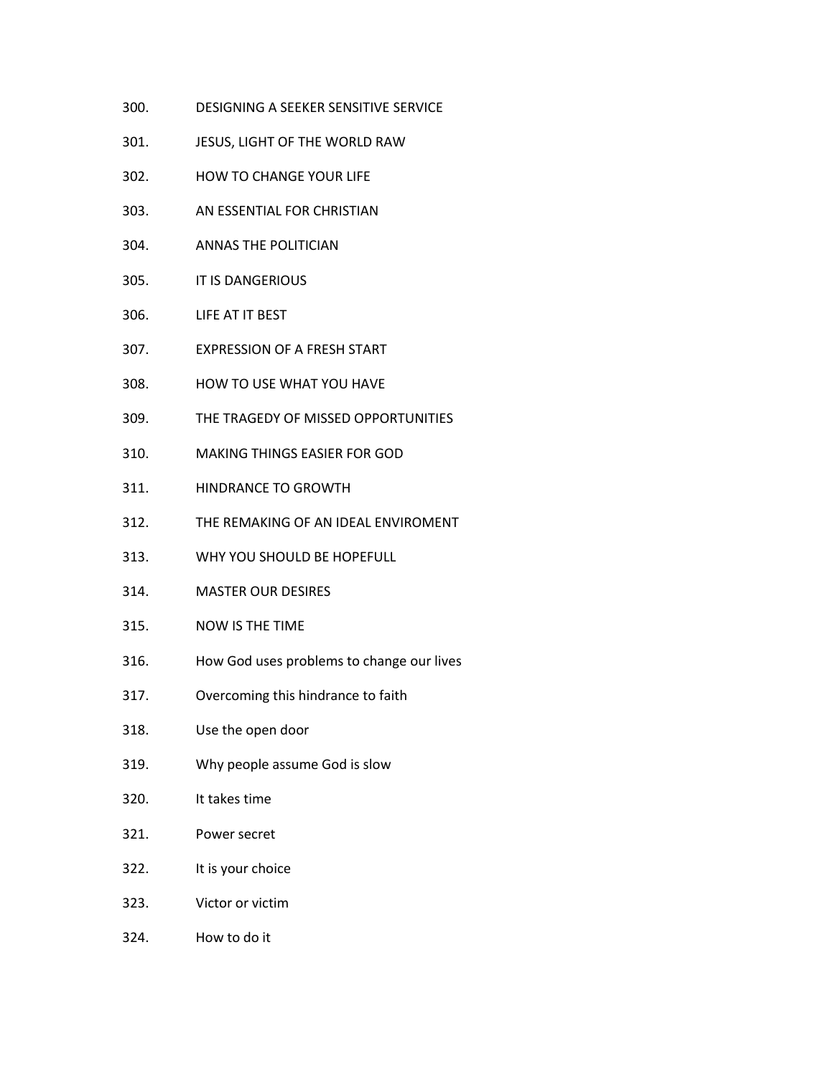- 300. DESIGNING A SEEKER SENSITIVE SERVICE
- 301. JESUS, LIGHT OF THE WORLD RAW
- 302. HOW TO CHANGE YOUR LIFE
- 303. AN ESSENTIAL FOR CHRISTIAN
- 304. ANNAS THE POLITICIAN
- 305. IT IS DANGERIOUS
- 306. LIFE AT IT BEST
- 307. EXPRESSION OF A FRESH START
- 308. HOW TO USE WHAT YOU HAVE
- 309. THE TRAGEDY OF MISSED OPPORTUNITIES
- 310. MAKING THINGSEASIER FOR GOD
- 311. HINDRANCE TO GROWTH
- 312. THE REMAKING OF AN IDEAL ENVIROMENT
- 313. WHY YOU SHOULD BE HOPEFULL
- 314. MASTER OUR DESIRES
- 315. NOW IS THE TIME
- 316. How God uses problems to change our lives
- 317. Overcoming this hindrance to faith
- 318. Use the open door
- 319. Why people assume God is slow
- 320. It takes time
- 321. Power secret
- 322. It is your choice
- 323. Victor or victim
- 324. How to do it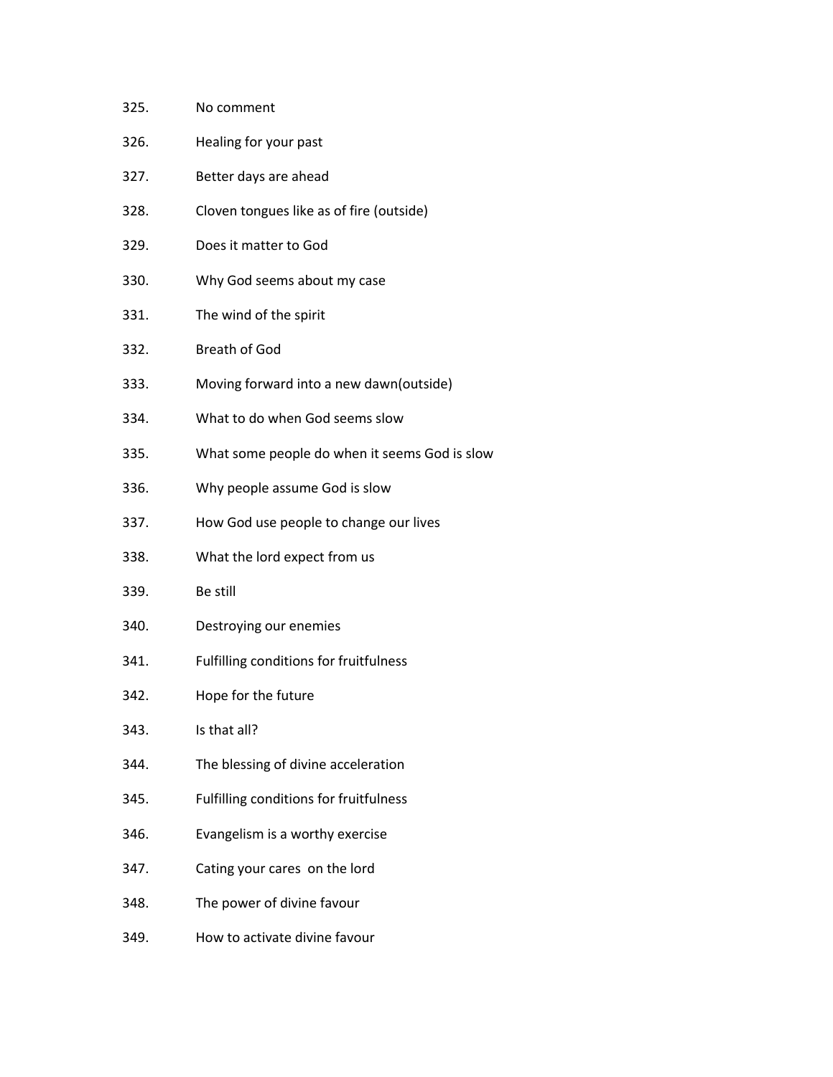| No comment                                    |
|-----------------------------------------------|
| Healing for your past                         |
| Better days are ahead                         |
| Cloven tongues like as of fire (outside)      |
| Does it matter to God                         |
| Why God seems about my case                   |
| The wind of the spirit                        |
| <b>Breath of God</b>                          |
| Moving forward into a new dawn(outside)       |
| What to do when God seems slow                |
| What some people do when it seems God is slow |
| Why people assume God is slow                 |
| How God use people to change our lives        |
| What the lord expect from us                  |
| Be still                                      |
| Destroying our enemies                        |
| Fulfilling conditions for fruitfulness        |
| Hope for the future                           |
| Is that all?                                  |
| The blessing of divine acceleration           |
| Fulfilling conditions for fruitfulness        |
| Evangelism is a worthy exercise               |
| Cating your cares on the lord                 |
| The power of divine favour                    |
| How to activate divine favour                 |
|                                               |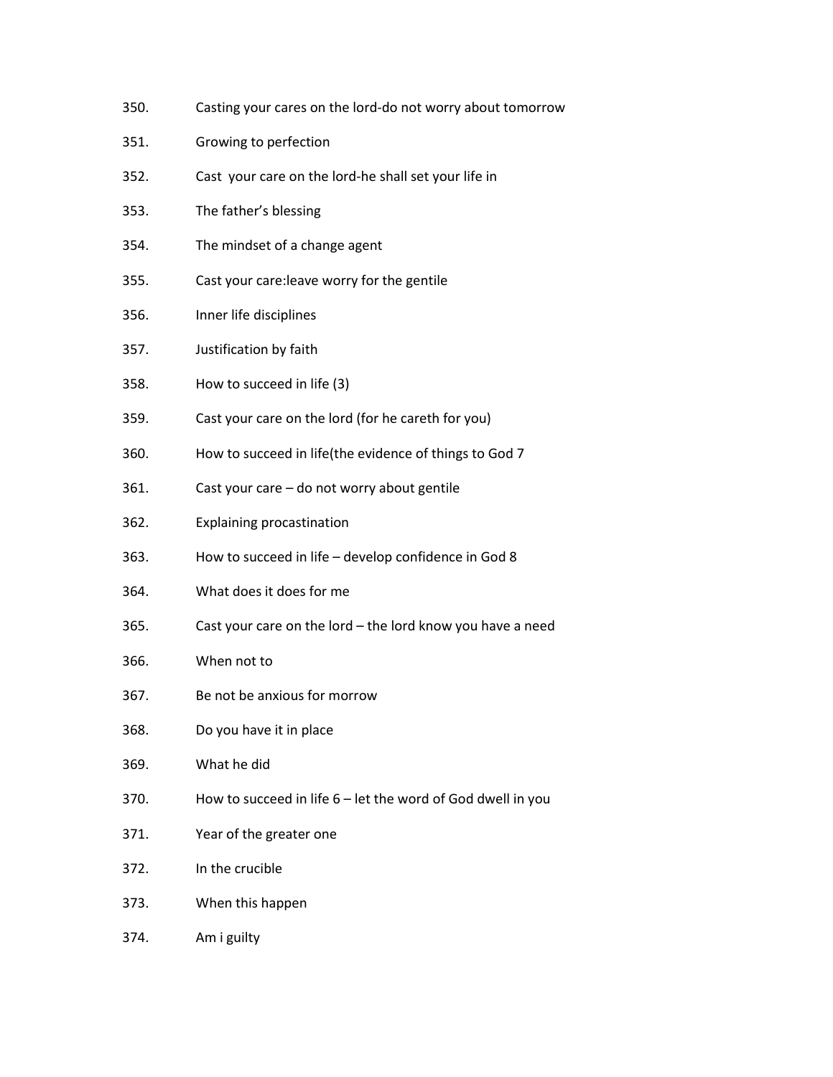- 350. Casting your cares on the lord-do not worry about tomorrow
- 351. Growing to perfection
- 352. Cast your care on the lord-he shall set your life in
- 353. The father's blessing
- 354. The mindset of a change agent
- 355. Cast your care:leave worry for the gentile
- 356. Inner life disciplines
- 357. Justification by faith
- 358. How to succeed in life (3)
- 359. Cast your care on the lord (for he careth for you)
- 360. How to succeed in life(the evidence of things to God 7
- 361. Cast your care do not worry about gentile
- 362. Explaining procastination
- 363. How to succeed in life develop confidence in God 8
- 364. What does it does for me
- 365. Cast your care on the lord the lord know you have a need
- 366. When not to
- 367. Be not be anxious for morrow
- 368. Do you have it in place
- 369. What he did
- 370. How to succeed in life 6 let the word of God dwell in you
- 371. Year of the greater one
- 372. In the crucible
- 373. When this happen
- 374. Am i guilty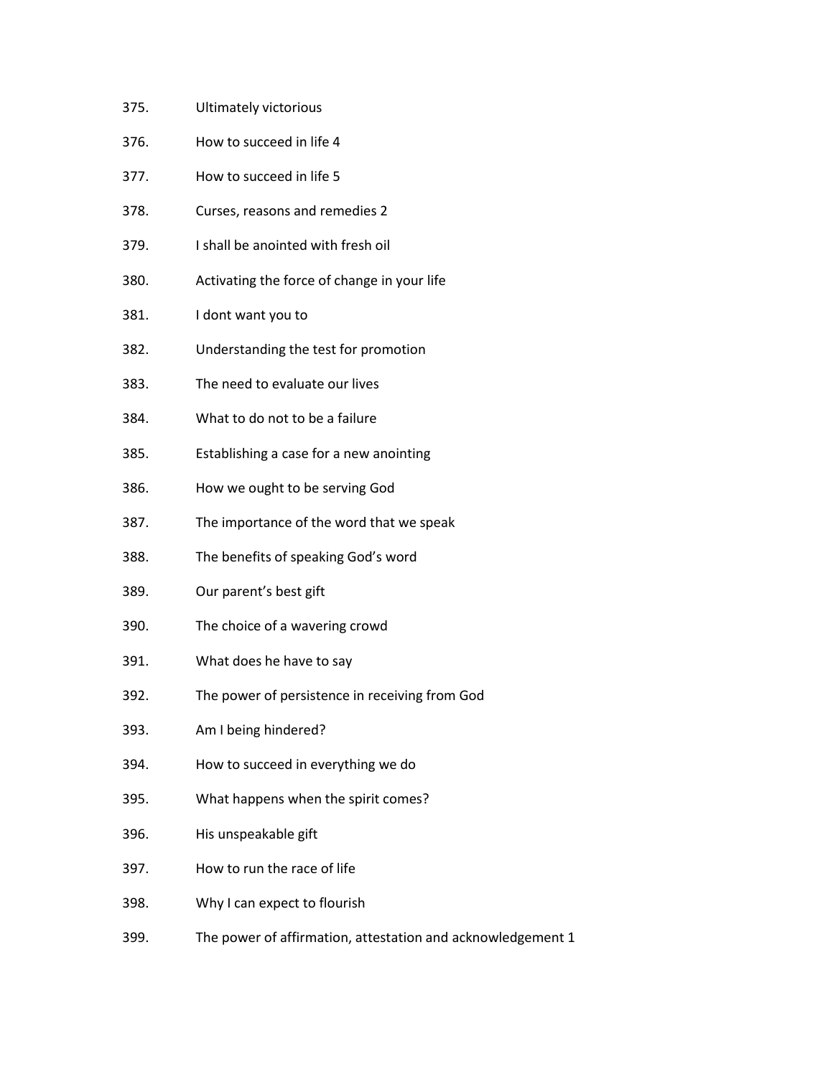- 375. Ultimately victorious
- 376. How to succeed in life 4
- 377. How to succeed in life 5
- 378. Curses, reasons and remedies 2
- 379. I shall be anointed with fresh oil
- 380. Activating the force of change in your life
- 381. I dont want you to
- 382. Understanding the test for promotion
- 383. The need to evaluate our lives
- 384. What to do not to be a failure
- 385. Establishing a case for a new anointing
- 386. How we ought to be serving God
- 387. The importance of the word that we speak
- 388. The benefits of speaking God's word
- 389. Our parent's best gift
- 390. The choice of a wavering crowd
- 391. What does he have to say
- 392. The power of persistence in receiving from God
- 393. Am I being hindered?
- 394. How to succeed in everything we do
- 395. What happens when the spirit comes?
- 396. His unspeakable gift
- 397. How to run the race of life
- 398. Why I can expect to flourish
- 399. The power of affirmation, attestation and acknowledgement 1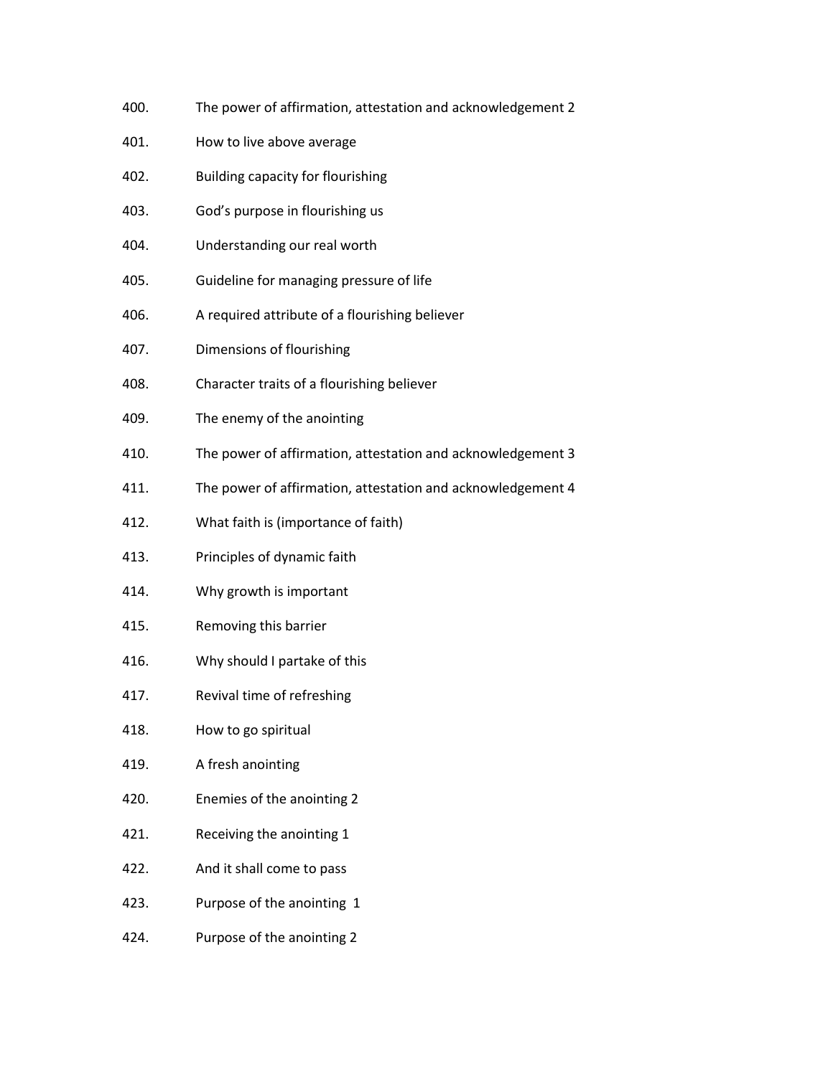- 400. The power of affirmation, attestation and acknowledgement 2
- 401. How to live above average
- 402. Building capacity for flourishing
- 403. God's purpose in flourishing us
- 404. Understanding our real worth
- 405. Guideline for managing pressure of life
- 406. A required attribute of a flourishing believer
- 407. Dimensions of flourishing
- 408. Character traits of a flourishing believer
- 409. The enemy of the anointing
- 410. The power of affirmation, attestation and acknowledgement 3
- 411. The power of affirmation, attestation and acknowledgement 4
- 412. What faith is (importance of faith)
- 413. Principles of dynamic faith
- 414. Why growth is important
- 415. Removing this barrier
- 416. Why should I partake of this
- 417. Revival time of refreshing
- 418. How to go spiritual
- 419. A fresh anointing
- 420. Enemies of the anointing 2
- 421. Receiving the anointing 1
- 422. And it shall come to pass
- 423. Purpose of the anointing 1
- 424. Purpose of the anointing 2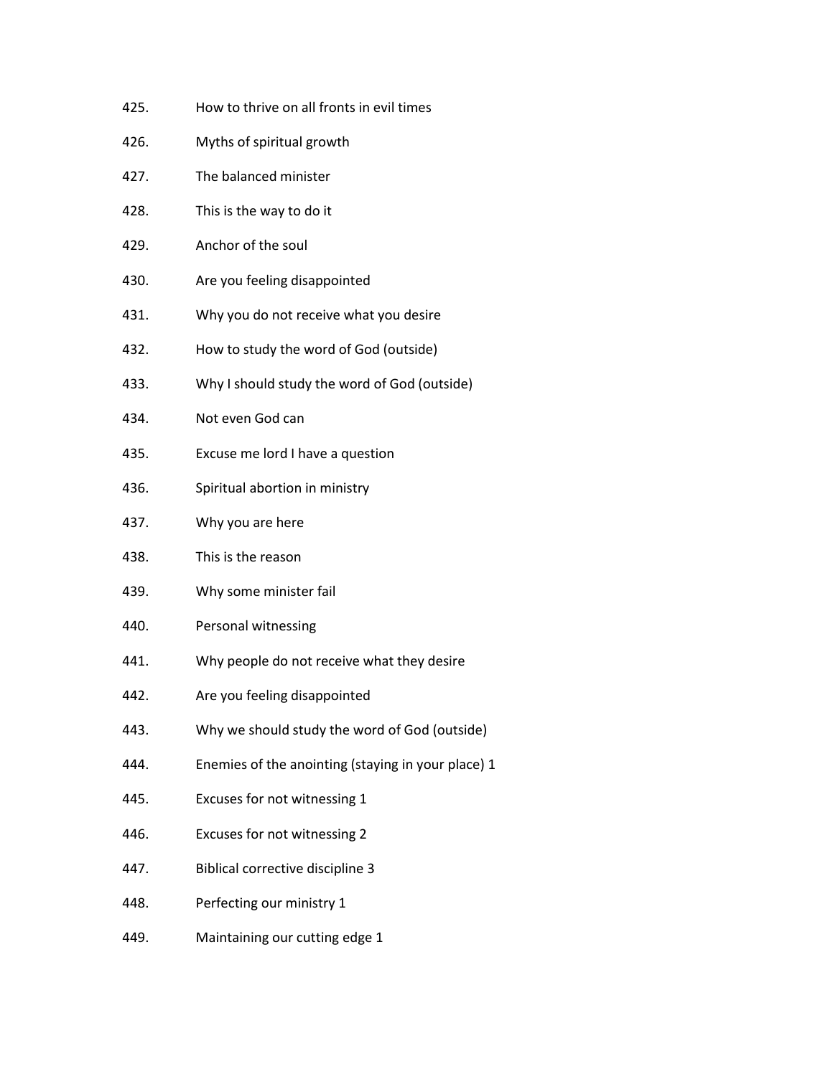- 425. How to thrive on all fronts in evil times
- 426. Myths of spiritual growth
- 427. The balanced minister
- 428. This is the way to do it
- 429. Anchor of the soul
- 430. Are you feeling disappointed
- 431. Why you do not receive what you desire
- 432. How to study the word of God (outside)
- 433. Why I should study the word of God (outside)
- 434. Not even God can
- 435. Excuse me lord I have a question
- 436. Spiritual abortion in ministry
- 437. Why you are here
- 438. This is the reason
- 439. Why some minister fail
- 440. Personal witnessing
- 441. Why people do not receive what they desire
- 442. Are you feeling disappointed
- 443. Why we should study the word of God (outside)
- 444. Enemies of the anointing (staying in your place) 1
- 445. Excuses for not witnessing 1
- 446. Excuses for not witnessing 2
- 447. Biblical corrective discipline 3
- 448. Perfecting our ministry 1
- 449. Maintaining our cutting edge 1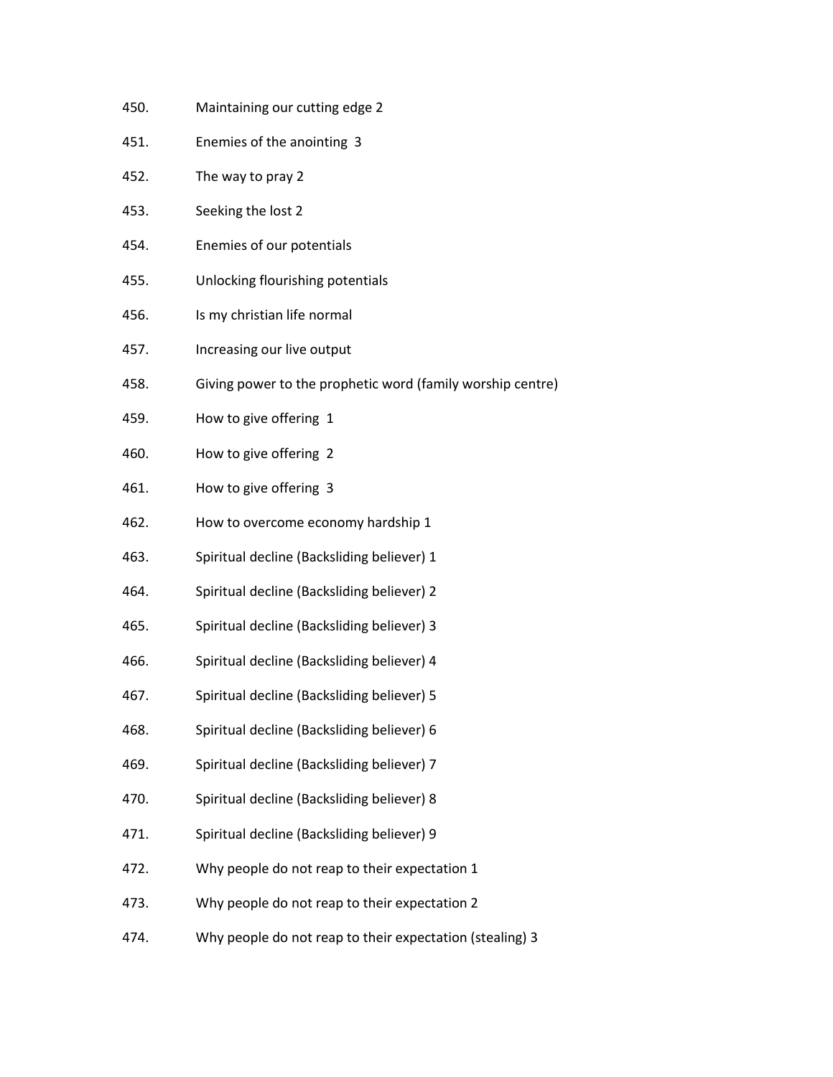- 450. Maintaining our cutting edge 2
- 451. Enemies of the anointing 3
- 452. The way to pray 2
- 453. Seeking the lost 2
- 454. Enemies of our potentials
- 455. Unlocking flourishing potentials
- 456. Is my christian life normal
- 457. Increasing our live output
- 458. Giving power to the prophetic word (family worship centre)
- 459. How to give offering 1
- 460. How to give offering 2
- 461. How to give offering 3
- 462. How to overcome economy hardship 1
- 463. Spiritual decline (Backsliding believer) 1
- 464. Spiritual decline (Backsliding believer) 2
- 465. Spiritual decline (Backsliding believer) 3
- 466. Spiritual decline (Backsliding believer) 4
- 467. Spiritual decline (Backsliding believer) 5
- 468. Spiritual decline (Backsliding believer) 6
- 469. Spiritual decline (Backsliding believer) 7
- 470. Spiritual decline (Backsliding believer) 8
- 471. Spiritual decline (Backsliding believer) 9
- 472. Why people do not reap to their expectation 1
- 473. Why people do not reap to their expectation 2
- 474. Why people do not reap to their expectation (stealing) 3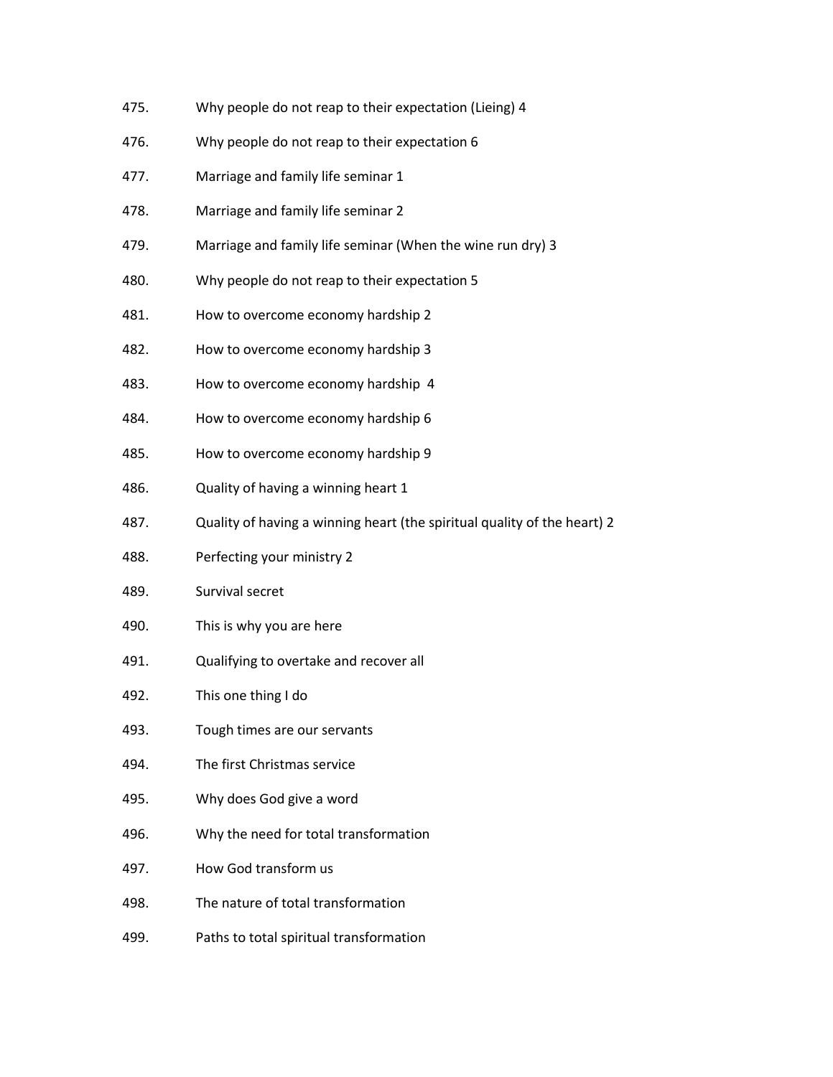- 475. Why people do not reap to their expectation (Lieing) 4
- 476. Why people do not reap to their expectation 6
- 477. Marriage and family life seminar 1
- 478. Marriage and family life seminar 2
- 479. Marriage and family life seminar (When the wine run dry) 3
- 480. Why people do not reap to their expectation 5
- 481. How to overcome economy hardship 2
- 482. How to overcome economy hardship 3
- 483. How to overcome economy hardship 4
- 484. How to overcome economy hardship 6
- 485. How to overcome economy hardship 9
- 486. Quality of having a winning heart 1
- 487. Quality of having a winning heart (the spiritual quality of the heart) 2
- 488. Perfecting your ministry 2
- 489. Survival secret
- 490. This is why you are here
- 491. Qualifying to overtake and recover all
- 492. This one thing I do
- 493. Tough times are our servants
- 494. The first Christmas service
- 495. Why does God give a word
- 496. Why the need for total transformation
- 497. How God transform us
- 498. The nature of total transformation
- 499. Paths to total spiritual transformation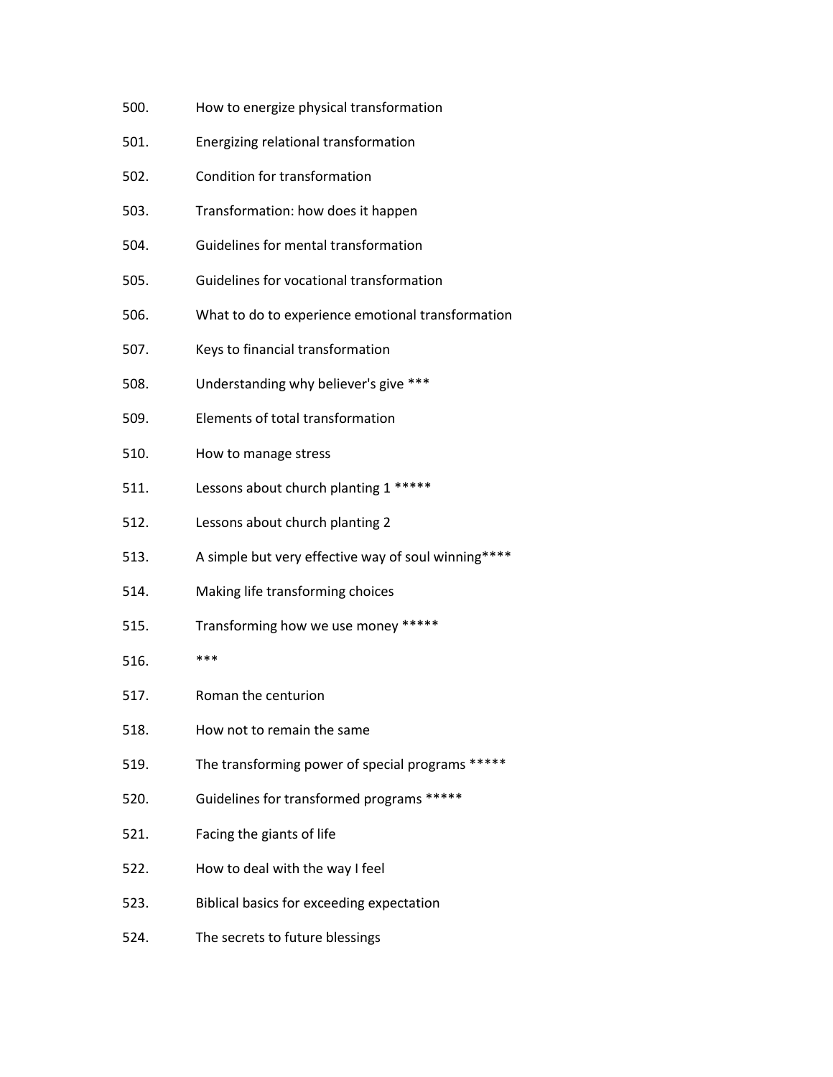- 500. How to energize physical transformation
- 501. Energizing relational transformation
- 502. Condition for transformation
- 503. Transformation: how does it happen
- 504. Guidelines for mental transformation
- 505. Guidelines for vocational transformation
- 506. What to do to experience emotional transformation
- 507. Keys to financial transformation
- 508. Understanding why believer's give \*\*\*
- 509. Elements of total transformation
- 510. How to manage stress
- 511. Lessons about church planting 1 \*\*\*\*\*
- 512. Lessons about church planting 2
- 513. A simple but very effective way of soul winning\*\*\*\*
- 514. Making life transforming choices
- 515. Transforming how we use money \*\*\*\*\*
- 516. \*\*\*
- 517. Roman the centurion
- 518. How not to remain the same
- 519. The transforming power of special programs \*\*\*\*\*
- 520. Guidelines for transformed programs \*\*\*\*\*
- 521. Facing the giants of life
- 522. How to deal with the way I feel
- 523. Biblical basics for exceeding expectation
- 524. The secrets to future blessings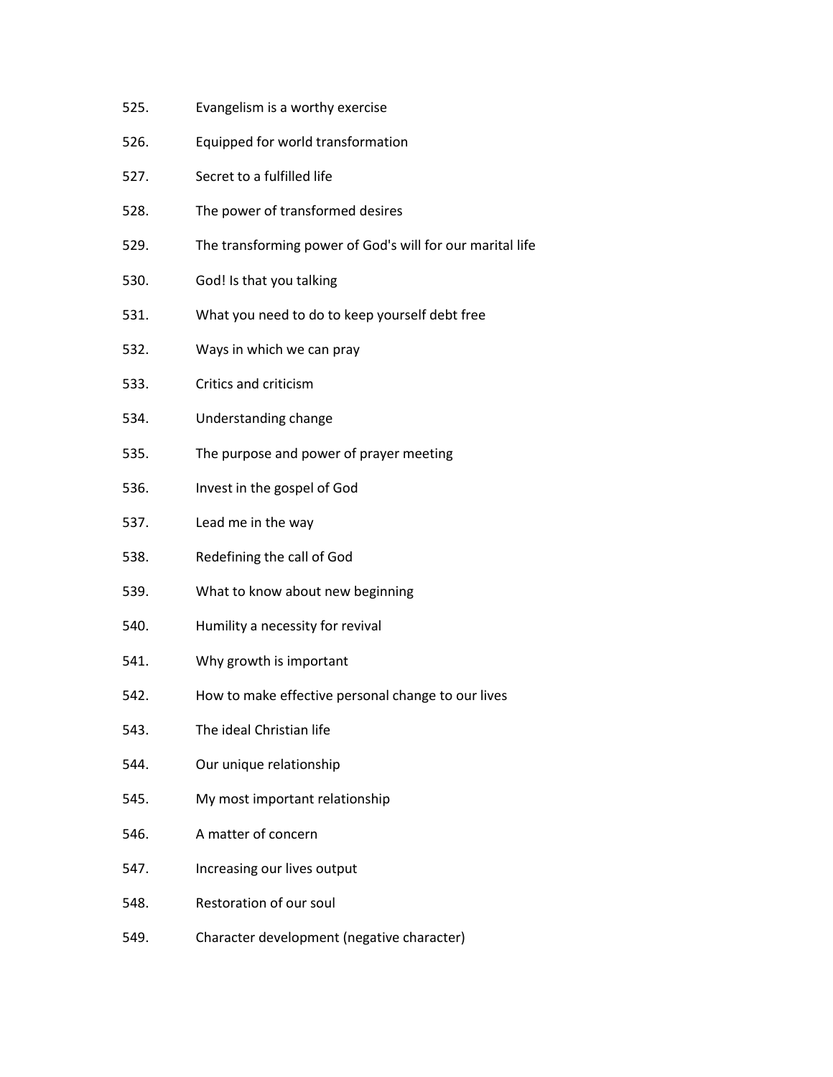- 525. Evangelism is a worthy exercise
- 526. Equipped for world transformation
- 527. Secret to a fulfilled life
- 528. The power of transformed desires
- 529. The transforming power of God's will for our marital life
- 530. God! Is that you talking
- 531. What you need to do to keep yourself debt free
- 532. Ways in which we can pray
- 533. Critics and criticism
- 534. Understanding change
- 535. The purpose and power of prayer meeting
- 536. Invest in the gospel of God
- 537. Lead me in the way
- 538. Redefining the call of God
- 539. What to know about new beginning
- 540. Humility a necessity for revival
- 541. Why growth is important
- 542. How to make effective personal change to our lives
- 543. The ideal Christian life
- 544. Our unique relationship
- 545. My most important relationship
- 546. A matter of concern
- 547. Increasing our lives output
- 548. Restoration of our soul
- 549. Character development (negative character)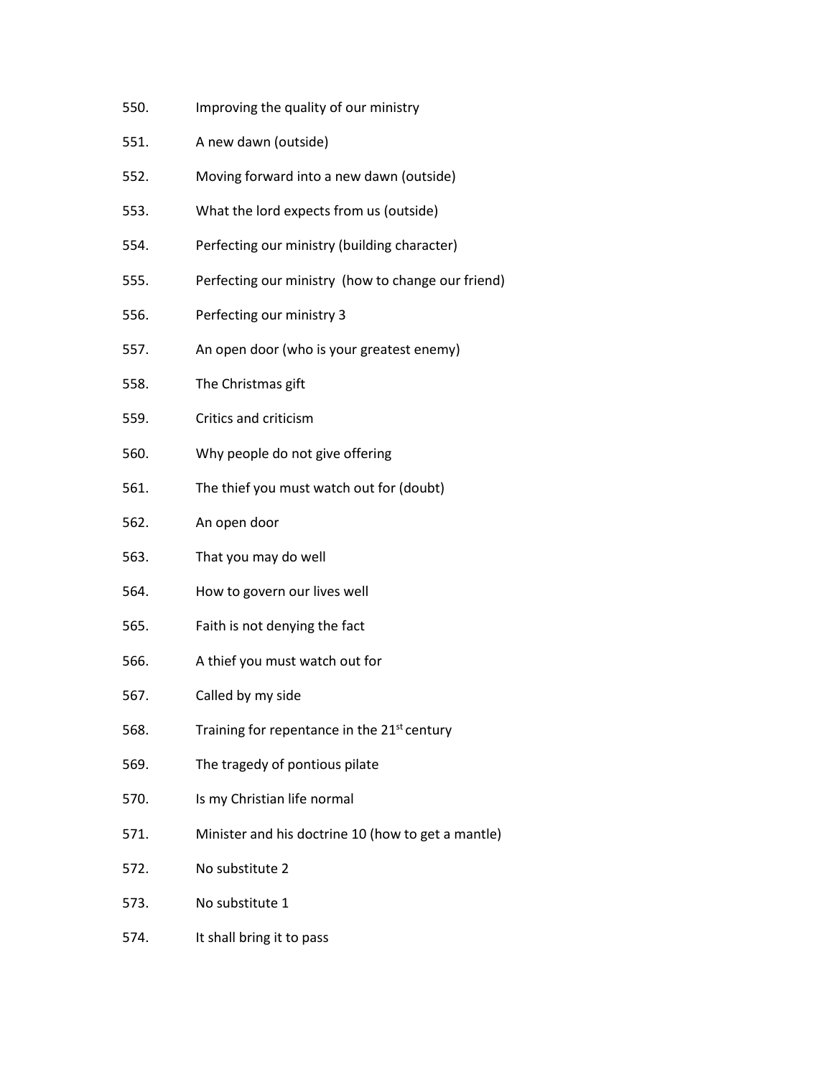- 550. Improving the quality of our ministry
- 551. A new dawn (outside)
- 552. Moving forward into a new dawn (outside)
- 553. What the lord expects from us (outside)
- 554. Perfecting our ministry (building character)
- 555. Perfecting our ministry (how to change our friend)
- 556. Perfecting our ministry 3
- 557. An open door (who is your greatest enemy)
- 558. The Christmas gift
- 559. Critics and criticism
- 560. Why people do not give offering
- 561. The thief you must watch out for (doubt)
- 562. An open door
- 563. That you may do well
- 564. How to govern our lives well
- 565. Faith is not denying the fact
- 566. A thief you must watch out for
- 567. Called by my side
- 568. Training for repentance in the 21<sup>st</sup> century
- 569. The tragedy of pontious pilate
- 570. Is my Christian life normal
- 571. Minister and his doctrine 10 (how to get a mantle)
- 572. No substitute 2
- 573. No substitute 1
- 574. It shall bring it to pass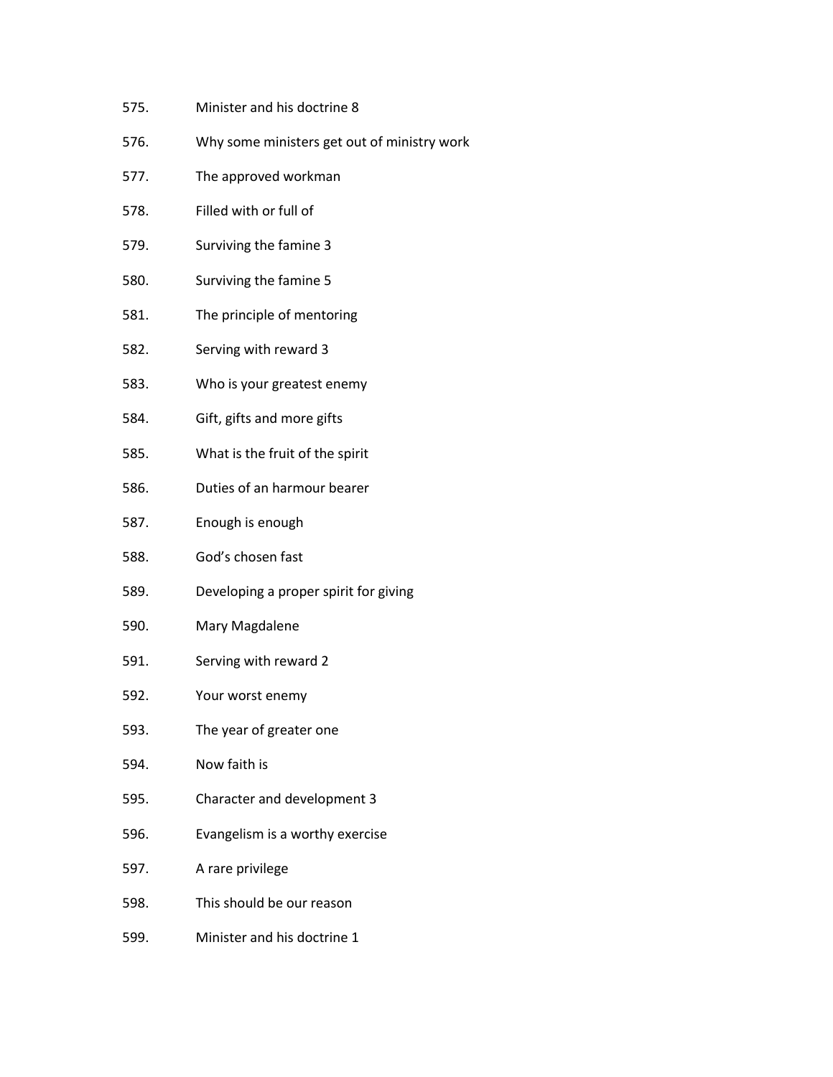- 575. Minister and his doctrine 8
- 576. Why some ministers get out of ministry work
- 577. The approved workman
- 578. Filled with or full of
- 579. Surviving the famine 3
- 580. Surviving the famine 5
- 581. The principle of mentoring
- 582. Serving with reward 3
- 583. Who is your greatest enemy
- 584. Gift, gifts and more gifts
- 585. What is the fruit of the spirit
- 586. Duties of an harmour bearer
- 587. Enough is enough
- 588. God's chosen fast
- 589. Developing a proper spirit for giving
- 590. Mary Magdalene
- 591. Serving with reward 2
- 592. Your worst enemy
- 593. The year of greater one
- 594. Now faith is
- 595. Character and development 3
- 596. Evangelism is a worthy exercise
- 597. A rare privilege
- 598. This should be our reason
- 599. Minister and his doctrine 1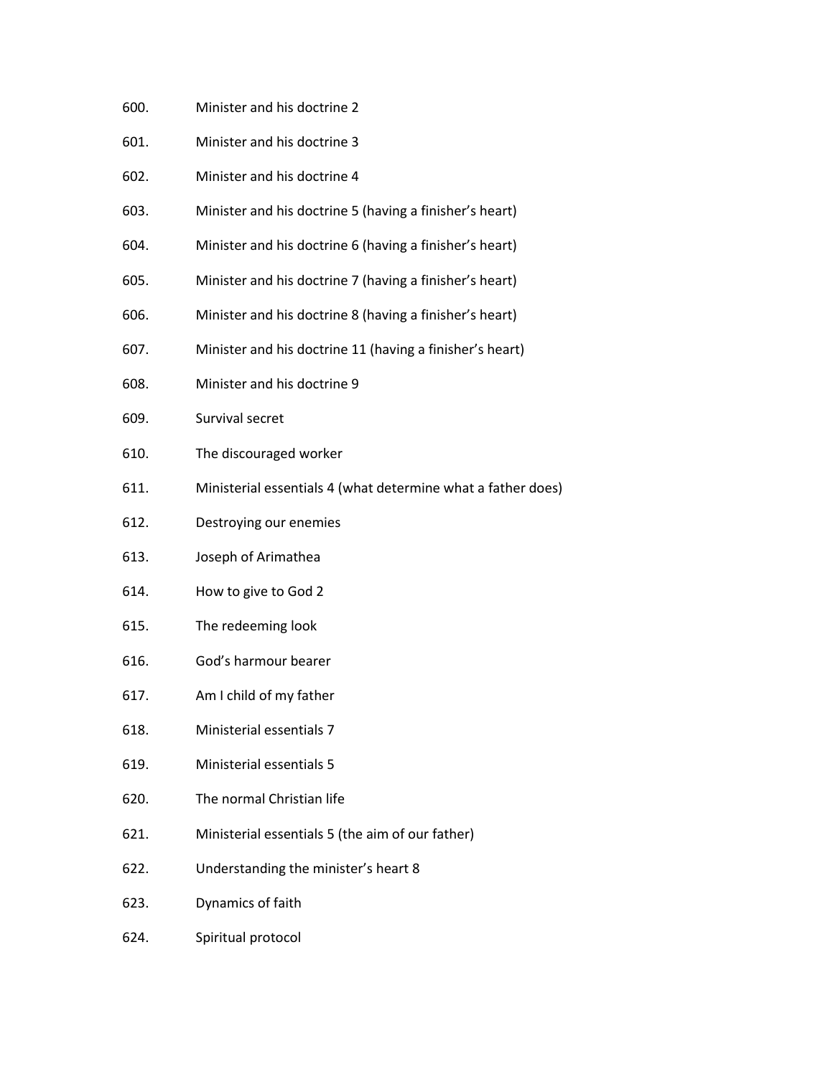- 600. Minister and his doctrine 2
- 601. Minister and his doctrine 3
- 602. Minister and his doctrine 4
- 603. Minister and his doctrine 5 (having a finisher's heart)
- 604. Minister and his doctrine 6 (having a finisher's heart)
- 605. Minister and his doctrine 7 (having a finisher's heart)
- 606. Minister and his doctrine 8 (having a finisher's heart)
- 607. Minister and his doctrine 11 (having a finisher's heart)
- 608. Minister and his doctrine 9
- 609. Survival secret
- 610. The discouraged worker
- 611. Ministerial essentials 4 (what determine what a father does)
- 612. Destroying our enemies
- 613. Joseph of Arimathea
- 614. How to give to God 2
- 615. The redeeming look
- 616. God's harmour bearer
- 617. Am I child of my father
- 618. Ministerial essentials 7
- 619. Ministerial essentials 5
- 620. The normal Christian life
- 621. Ministerial essentials 5 (the aim of our father)
- 622. Understanding the minister's heart 8
- 623. Dynamics of faith
- 624. Spiritual protocol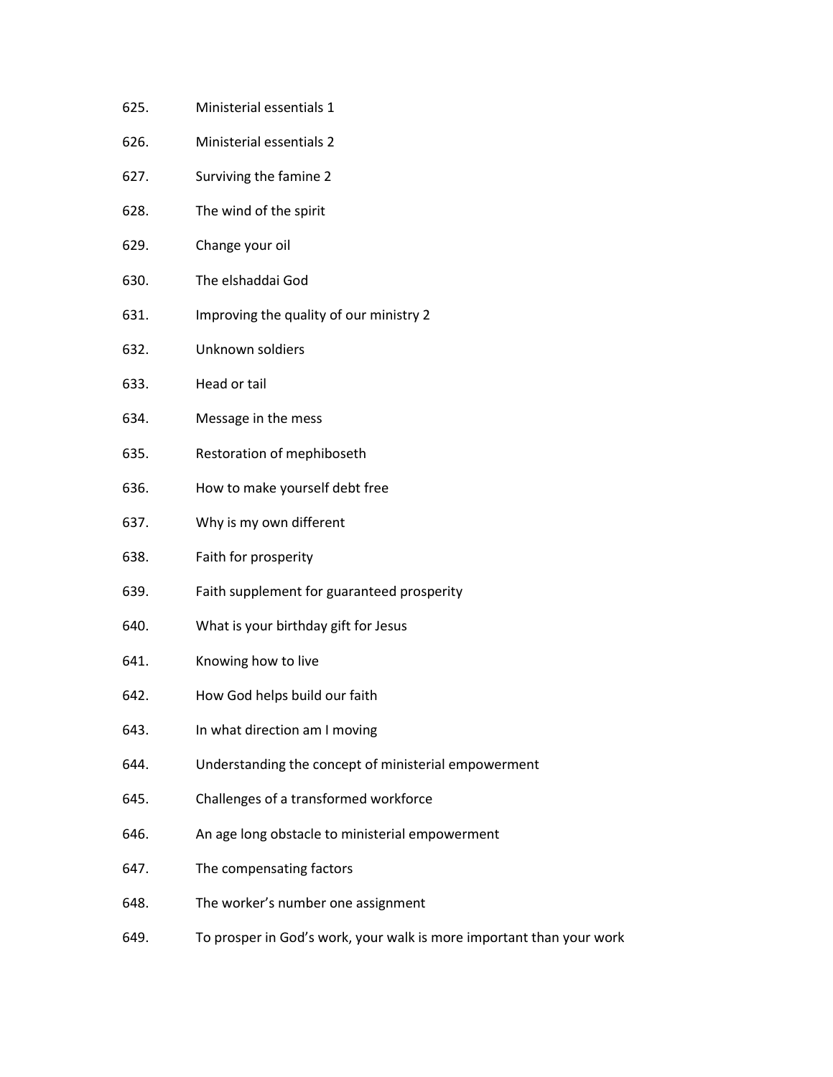- 625. Ministerial essentials 1
- 626. Ministerial essentials 2
- 627. Surviving the famine 2
- 628. The wind of the spirit
- 629. Change your oil
- 630. The elshaddai God
- 631. Improving the quality of our ministry 2
- 632. Unknown soldiers
- 633. Head or tail
- 634. Message in the mess
- 635. Restoration of mephiboseth
- 636. How to make yourself debt free
- 637. Why is my own different
- 638. Faith for prosperity
- 639. Faith supplement for guaranteed prosperity
- 640. What is your birthday gift for Jesus
- 641. Knowing how to live
- 642. How God helps build our faith
- 643. In what direction am I moving
- 644. Understanding the concept of ministerial empowerment
- 645. Challenges of a transformed workforce
- 646. An age long obstacle to ministerial empowerment
- 647. The compensating factors
- 648. The worker's number one assignment
- 649. To prosperin God'swork, your walk is more important than your work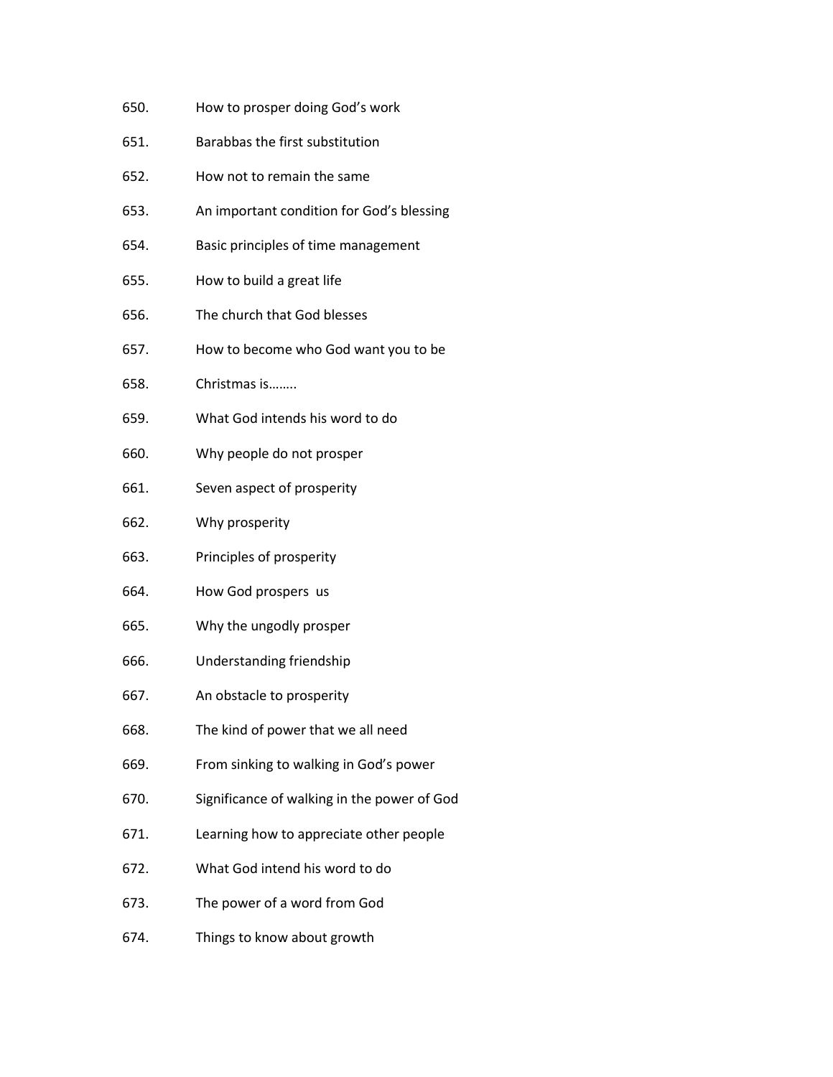- 650. How to prosperdoing God's work
- 651. Barabbas the first substitution
- 652. How not to remain the same
- 653. An important condition for God's blessing
- 654. Basic principles of time management
- 655. How to build a great life
- 656. The church that God blesses
- 657. How to become who God want you to be
- 658. Christmas is……..
- 659. What God intends his word to do
- 660. Why people do not prosper
- 661. Seven aspect of prosperity
- 662. Why prosperity
- 663. Principles of prosperity
- 664. How God prospers us
- 665. Why the ungodly prosper
- 666. Understanding friendship
- 667. An obstacle to prosperity
- 668. The kind of power that we all need
- 669. From sinking to walking in God's power
- 670. Significance of walking in the powerof God
- 671. Learning how to appreciate other people
- 672. What God intend his word to do
- 673. The power of a word from God
- 674. Things to know about growth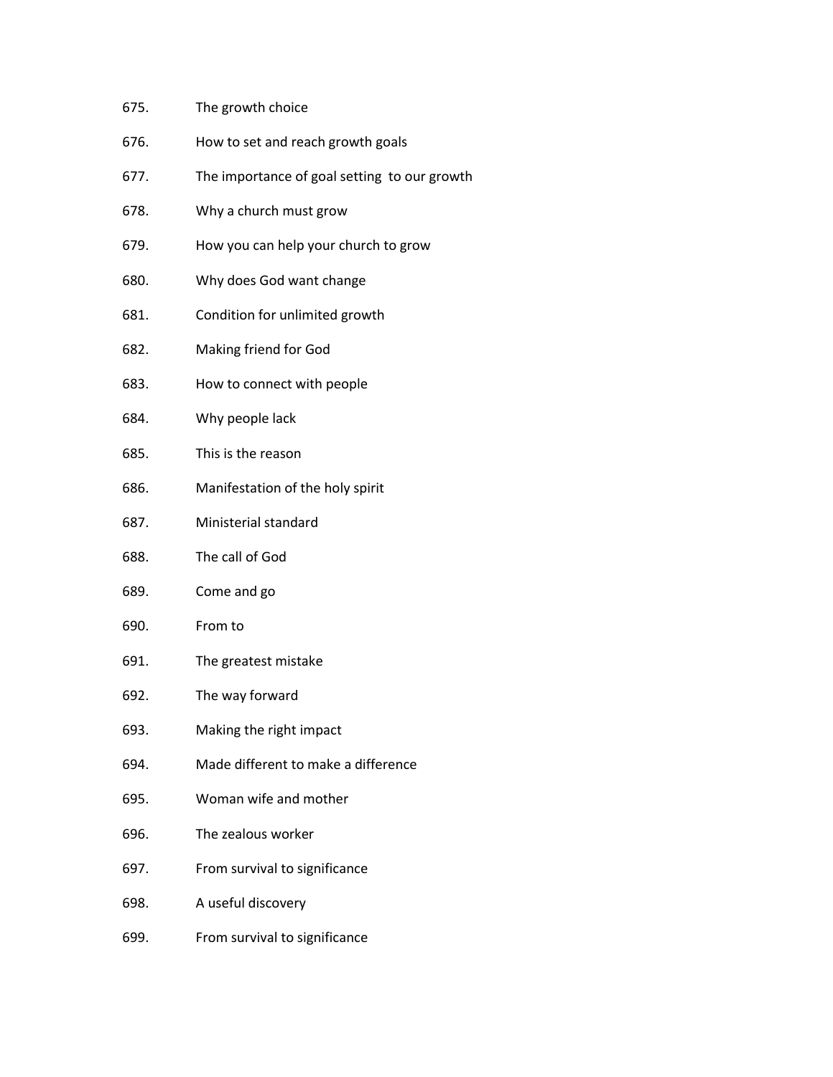- 675. The growth choice
- 676. How to set and reach growth goals
- 677. The importance of goal setting to our growth
- 678. Why a church must grow
- 679. How you can help your church to grow
- 680. Why does God want change
- 681. Condition for unlimited growth
- 682. Making friend for God
- 683. How to connect with people
- 684. Why people lack
- 685. This is the reason
- 686. Manifestation of the holy spirit
- 687. Ministerial standard
- 688. The call of God
- 689. Come and go
- 690. From to
- 691. The greatest mistake
- 692. The way forward
- 693. Making the right impact
- 694. Made different to make a difference
- 695. Woman wife and mother
- 696. The zealous worker
- 697. From survival to significance
- 698. A useful discovery
- 699. From survival to significance